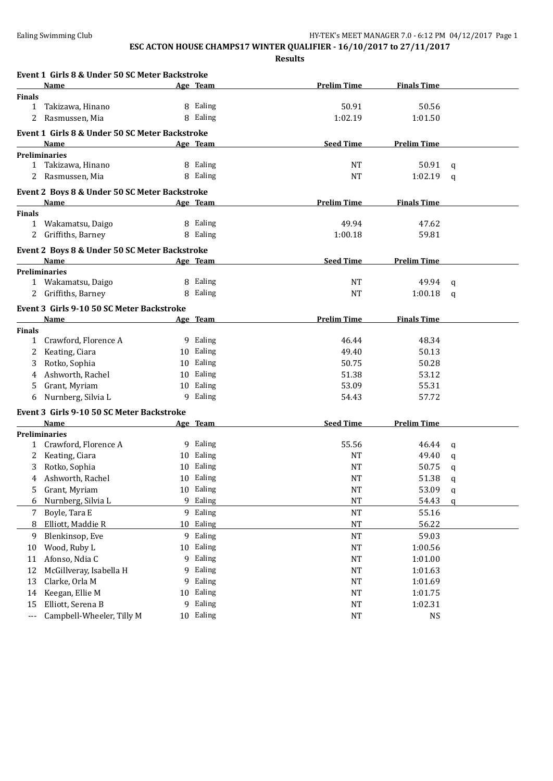|                   | Event 1 Girls 8 & Under 50 SC Meter Backstroke |    |           |                    |                    |              |
|-------------------|------------------------------------------------|----|-----------|--------------------|--------------------|--------------|
|                   | <b>Name</b>                                    |    | Age Team  | <b>Prelim Time</b> | <b>Finals Time</b> |              |
| <b>Finals</b>     |                                                |    |           |                    |                    |              |
| 1                 | Takizawa, Hinano                               |    | 8 Ealing  | 50.91              | 50.56              |              |
| 2                 | Rasmussen, Mia                                 |    | 8 Ealing  | 1:02.19            | 1:01.50            |              |
|                   | Event 1 Girls 8 & Under 50 SC Meter Backstroke |    |           |                    |                    |              |
|                   | Name                                           |    | Age Team  | <b>Seed Time</b>   | <b>Prelim Time</b> |              |
|                   | <b>Preliminaries</b>                           |    |           |                    |                    |              |
|                   | 1 Takizawa, Hinano                             |    | 8 Ealing  | <b>NT</b>          | 50.91              | q            |
|                   | 2 Rasmussen, Mia                               |    | 8 Ealing  | <b>NT</b>          | 1:02.19            | q            |
|                   | Event 2 Boys 8 & Under 50 SC Meter Backstroke  |    |           |                    |                    |              |
|                   | Name                                           |    | Age Team  | <b>Prelim Time</b> | <b>Finals Time</b> |              |
| <b>Finals</b>     |                                                |    |           |                    |                    |              |
|                   | 1 Wakamatsu, Daigo                             |    | 8 Ealing  | 49.94              | 47.62              |              |
|                   | 2 Griffiths, Barney                            |    | 8 Ealing  | 1:00.18            | 59.81              |              |
|                   | Event 2 Boys 8 & Under 50 SC Meter Backstroke  |    |           |                    |                    |              |
|                   | Name                                           |    | Age Team  | <b>Seed Time</b>   | <b>Prelim Time</b> |              |
|                   | <b>Preliminaries</b>                           |    |           |                    |                    |              |
|                   | 1 Wakamatsu, Daigo                             |    | 8 Ealing  | NT                 | 49.94              | q            |
|                   | Griffiths, Barney                              |    | 8 Ealing  | <b>NT</b>          | 1:00.18            | a            |
|                   | Event 3 Girls 9-10 50 SC Meter Backstroke      |    |           |                    |                    |              |
|                   | Name                                           |    | Age Team  | <b>Prelim Time</b> | <b>Finals Time</b> |              |
| <b>Finals</b>     |                                                |    |           |                    |                    |              |
| $\mathbf{1}$      | Crawford, Florence A                           |    | 9 Ealing  | 46.44              | 48.34              |              |
| 2                 | Keating, Ciara                                 |    | 10 Ealing | 49.40              | 50.13              |              |
| 3                 | Rotko, Sophia                                  |    | 10 Ealing | 50.75              | 50.28              |              |
| 4                 | Ashworth, Rachel                               |    | 10 Ealing | 51.38              | 53.12              |              |
| 5                 | Grant, Myriam                                  |    | 10 Ealing | 53.09              | 55.31              |              |
| 6                 | Nurnberg, Silvia L                             |    | 9 Ealing  | 54.43              | 57.72              |              |
|                   | Event 3 Girls 9-10 50 SC Meter Backstroke      |    |           |                    |                    |              |
|                   | Name                                           |    | Age Team  | <b>Seed Time</b>   | <b>Prelim Time</b> |              |
|                   | <b>Preliminaries</b>                           |    |           |                    |                    |              |
|                   | 1 Crawford, Florence A                         |    | 9 Ealing  | 55.56              | 46.44              | q            |
| 2                 | Keating, Ciara                                 |    | 10 Ealing | <b>NT</b>          | 49.40              | q            |
| 3                 | Rotko, Sophia                                  |    | 10 Ealing | NT                 | 50.75              | q            |
| 4                 | Ashworth, Rachel                               |    | 10 Ealing | <b>NT</b>          | 51.38              | q            |
| 5                 | Grant, Myriam                                  |    | 10 Ealing | <b>NT</b>          | 53.09              | $\mathbf q$  |
| 6                 | Nurnberg, Silvia L                             |    | 9 Ealing  | $\rm{NT}$          | 54.43              | $\mathbf{q}$ |
| 7                 | Boyle, Tara E                                  | 9  | Ealing    | <b>NT</b>          | 55.16              |              |
| 8                 | Elliott, Maddie R                              | 10 | Ealing    | $\rm{NT}$          | 56.22              |              |
| 9                 | Blenkinsop, Eve                                | 9  | Ealing    | NT                 | 59.03              |              |
| 10                | Wood, Ruby L                                   |    | 10 Ealing | <b>NT</b>          | 1:00.56            |              |
| 11                | Afonso, Ndia C                                 |    | 9 Ealing  | <b>NT</b>          | 1:01.00            |              |
| 12                | McGillveray, Isabella H                        | 9  | Ealing    | <b>NT</b>          | 1:01.63            |              |
| 13                | Clarke, Orla M                                 | 9  | Ealing    | <b>NT</b>          | 1:01.69            |              |
| 14                | Keegan, Ellie M                                | 10 | Ealing    | <b>NT</b>          | 1:01.75            |              |
| 15                | Elliott, Serena B                              | 9  | Ealing    | NT                 | 1:02.31            |              |
|                   | Campbell-Wheeler, Tilly M                      |    | 10 Ealing |                    | <b>NS</b>          |              |
| $\qquad \qquad -$ |                                                |    |           | <b>NT</b>          |                    |              |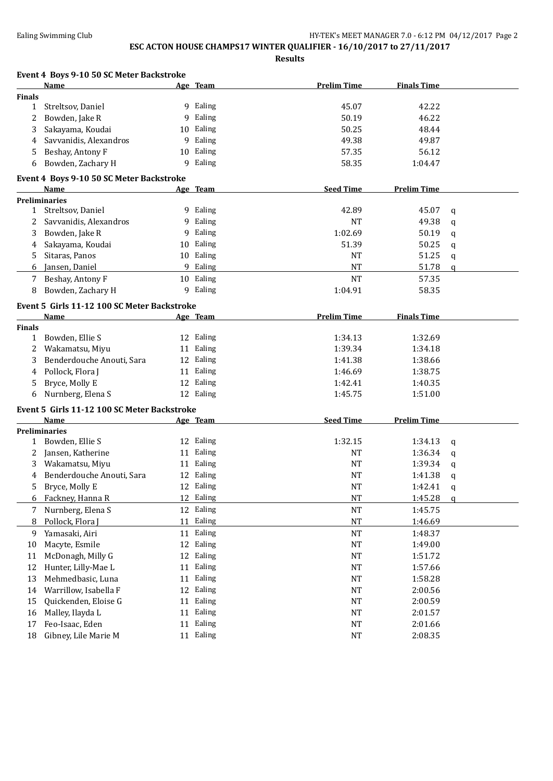## **ESC ACTON HOUSE CHAMPS17 WINTER QUALIFIER - 16/10/2017 to 27/11/2017**

|               | Event 4 Boys 9-10 50 SC Meter Backstroke    |    |           |                    |                    |              |
|---------------|---------------------------------------------|----|-----------|--------------------|--------------------|--------------|
|               | <b>Name</b>                                 |    | Age Team  | <b>Prelim Time</b> | <b>Finals Time</b> |              |
| Finals        |                                             |    |           |                    |                    |              |
| $\mathbf{1}$  | Streltsov, Daniel                           |    | 9 Ealing  | 45.07              | 42.22              |              |
| 2             | Bowden, Jake R                              | 9  | Ealing    | 50.19              | 46.22              |              |
| 3             | Sakayama, Koudai                            |    | 10 Ealing | 50.25              | 48.44              |              |
| 4             | Savvanidis, Alexandros                      | 9  | Ealing    | 49.38              | 49.87              |              |
| 5             | Beshay, Antony F                            | 10 | Ealing    | 57.35              | 56.12              |              |
| 6             | Bowden, Zachary H                           | 9  | Ealing    | 58.35              | 1:04.47            |              |
|               | Event 4 Boys 9-10 50 SC Meter Backstroke    |    |           |                    |                    |              |
|               | Name                                        |    | Age Team  | <b>Seed Time</b>   | <b>Prelim Time</b> |              |
|               | <b>Preliminaries</b>                        |    |           |                    |                    |              |
|               | 1 Streltsov, Daniel                         |    | 9 Ealing  | 42.89              | 45.07              | q            |
| 2             | Savvanidis, Alexandros                      |    | 9 Ealing  | <b>NT</b>          | 49.38              | q            |
| 3             | Bowden, Jake R                              | 9  | Ealing    | 1:02.69            | 50.19              | q            |
| 4             | Sakayama, Koudai                            | 10 | Ealing    | 51.39              | 50.25              | q            |
| 5.            | Sitaras, Panos                              |    | 10 Ealing | <b>NT</b>          | 51.25              | q            |
| 6             | Jansen, Daniel                              |    | 9 Ealing  | <b>NT</b>          | 51.78              | $\mathbf{q}$ |
| 7             | Beshay, Antony F                            |    | 10 Ealing | <b>NT</b>          | 57.35              |              |
| 8             | Bowden, Zachary H                           |    | 9 Ealing  | 1:04.91            | 58.35              |              |
|               | Event 5 Girls 11-12 100 SC Meter Backstroke |    |           |                    |                    |              |
|               | Name                                        |    | Age Team  | <b>Prelim Time</b> | <b>Finals Time</b> |              |
| <b>Finals</b> |                                             |    |           |                    |                    |              |
| $\mathbf{1}$  | Bowden, Ellie S                             |    | 12 Ealing | 1:34.13            | 1:32.69            |              |
| 2             | Wakamatsu, Miyu                             |    | 11 Ealing | 1:39.34            | 1:34.18            |              |
| 3             | Benderdouche Anouti, Sara                   |    | 12 Ealing | 1:41.38            | 1:38.66            |              |
| 4             | Pollock, Flora J                            |    | 11 Ealing | 1:46.69            | 1:38.75            |              |
| 5             | Bryce, Molly E                              |    | 12 Ealing | 1:42.41            | 1:40.35            |              |
| 6             | Nurnberg, Elena S                           |    | 12 Ealing | 1:45.75            | 1:51.00            |              |
|               | Event 5 Girls 11-12 100 SC Meter Backstroke |    |           |                    |                    |              |
|               | Name                                        |    | Age Team  | <b>Seed Time</b>   | <b>Prelim Time</b> |              |
|               | <b>Preliminaries</b>                        |    |           |                    |                    |              |
|               | 1 Bowden, Ellie S                           |    | 12 Ealing | 1:32.15            | 1:34.13            | q            |
| 2             | Jansen, Katherine                           |    | 11 Ealing | <b>NT</b>          | 1:36.34            | q            |
| 3             | Wakamatsu, Miyu                             |    | 11 Ealing | <b>NT</b>          | 1:39.34            | q            |
| 4             | Benderdouche Anouti, Sara                   |    | 12 Ealing | <b>NT</b>          | 1:41.38            | q            |
| 5             | Bryce, Molly E                              |    | 12 Ealing | $\rm{NT}$          | 1:42.41            | q            |
| 6             | Fackney, Hanna R                            |    | 12 Ealing | $\rm{NT}$          | 1:45.28            | $\mathbf{q}$ |
| 7             | Nurnberg, Elena S                           |    | 12 Ealing | $\rm{NT}$          | 1:45.75            |              |
| 8             | Pollock, Flora J                            | 11 | Ealing    | $\rm{NT}$          | 1:46.69            |              |
| 9             | Yamasaki, Airi                              |    | 11 Ealing | NT                 | 1:48.37            |              |
| 10            | Macyte, Esmile                              |    | 12 Ealing | NT                 | 1:49.00            |              |
| 11            | McDonagh, Milly G                           | 12 | Ealing    | NT                 | 1:51.72            |              |
| 12            | Hunter, Lilly-Mae L                         |    | 11 Ealing | NT                 | 1:57.66            |              |
| 13            | Mehmedbasic, Luna                           | 11 | Ealing    | NT                 | 1:58.28            |              |
| 14            | Warrillow, Isabella F                       | 12 | Ealing    | NT                 | 2:00.56            |              |
| 15            | Quickenden, Eloise G                        | 11 | Ealing    | NT                 | 2:00.59            |              |
| 16            | Malley, Ilayda L                            | 11 | Ealing    | NT                 | 2:01.57            |              |
| 17            | Feo-Isaac, Eden                             | 11 | Ealing    | NT                 | 2:01.66            |              |
| 18            | Gibney, Lile Marie M                        |    | 11 Ealing | NT                 | 2:08.35            |              |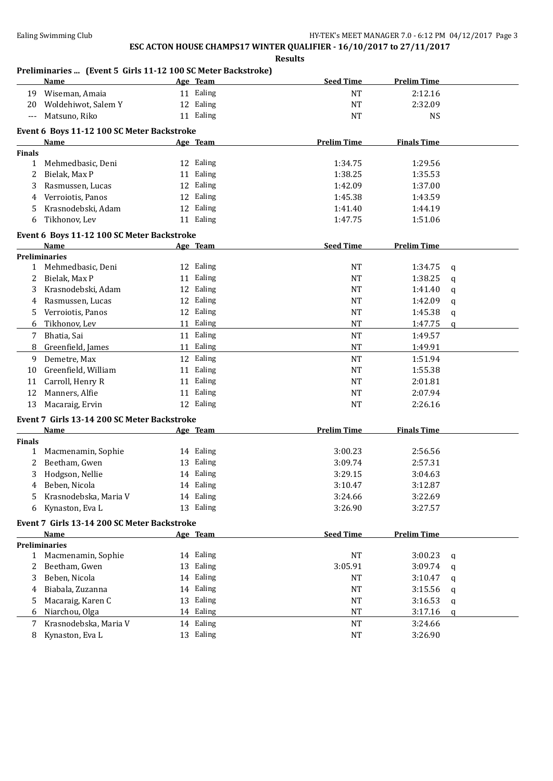**Results**

### **Preliminaries ... (Event 5 Girls 11-12 100 SC Meter Backstroke)**

|                | <b>Name</b>                                 | Age Team  | <b>Seed Time</b>   | <b>Prelim Time</b> |             |
|----------------|---------------------------------------------|-----------|--------------------|--------------------|-------------|
| 19             | Wiseman, Amaia                              | 11 Ealing | <b>NT</b>          | 2:12.16            |             |
| 20             | Woldehiwot, Salem Y                         | 12 Ealing | <b>NT</b>          | 2:32.09            |             |
| $\overline{a}$ | Matsuno, Riko                               | 11 Ealing | <b>NT</b>          | <b>NS</b>          |             |
|                | Event 6 Boys 11-12 100 SC Meter Backstroke  |           |                    |                    |             |
|                | Name                                        | Age Team  | <b>Prelim Time</b> | <b>Finals Time</b> |             |
| <b>Finals</b>  |                                             |           |                    |                    |             |
| $\mathbf{1}$   | Mehmedbasic, Deni                           | 12 Ealing | 1:34.75            | 1:29.56            |             |
| 2              | Bielak, Max P                               | 11 Ealing | 1:38.25            | 1:35.53            |             |
| 3              | Rasmussen, Lucas                            | 12 Ealing | 1:42.09            | 1:37.00            |             |
| 4              | Verroiotis, Panos                           | 12 Ealing | 1:45.38            | 1:43.59            |             |
| 5.             | Krasnodebski, Adam                          | 12 Ealing | 1:41.40            | 1:44.19            |             |
| 6              | Tikhonov, Lev                               | 11 Ealing | 1:47.75            | 1:51.06            |             |
|                |                                             |           |                    |                    |             |
|                | Event 6 Boys 11-12 100 SC Meter Backstroke  |           |                    |                    |             |
|                | Name                                        | Age Team  | <b>Seed Time</b>   | <b>Prelim Time</b> |             |
|                | <b>Preliminaries</b><br>1 Mehmedbasic, Deni | 12 Ealing | <b>NT</b>          | 1:34.75            |             |
| 2              | Bielak, Max P                               | 11 Ealing | <b>NT</b>          | 1:38.25            | q           |
| 3              | Krasnodebski, Adam                          | 12 Ealing | <b>NT</b>          | 1:41.40            | $\mathbf q$ |
| 4              | Rasmussen, Lucas                            | 12 Ealing | <b>NT</b>          | 1:42.09            | $\mathbf q$ |
| 5              | Verroiotis, Panos                           | 12 Ealing | <b>NT</b>          | 1:45.38            | $\mathbf q$ |
|                | Tikhonov, Lev                               | 11 Ealing | <b>NT</b>          |                    | q           |
| 6              | Bhatia, Sai                                 | 11 Ealing | <b>NT</b>          | 1:47.75            | $\mathbf q$ |
| 7              |                                             | 11 Ealing | <b>NT</b>          | 1:49.57            |             |
| 8              | Greenfield, James                           |           |                    | 1:49.91            |             |
| 9              | Demetre, Max                                | 12 Ealing | <b>NT</b>          | 1:51.94            |             |
| 10             | Greenfield, William                         | 11 Ealing | <b>NT</b>          | 1:55.38            |             |
| 11             | Carroll, Henry R                            | 11 Ealing | <b>NT</b>          | 2:01.81            |             |
| 12             | Manners, Alfie                              | 11 Ealing | <b>NT</b>          | 2:07.94            |             |
| 13             | Macaraig, Ervin                             | 12 Ealing | <b>NT</b>          | 2:26.16            |             |
|                | Event 7 Girls 13-14 200 SC Meter Backstroke |           |                    |                    |             |
|                | <b>Name</b>                                 | Age Team  | <b>Prelim Time</b> | <b>Finals Time</b> |             |
| <b>Finals</b>  |                                             |           |                    |                    |             |
| $\mathbf{1}$   | Macmenamin, Sophie                          | 14 Ealing | 3:00.23            | 2:56.56            |             |
| 2              | Beetham, Gwen                               | 13 Ealing | 3:09.74            | 2:57.31            |             |
| 3              | Hodgson, Nellie                             | 14 Ealing | 3:29.15            | 3:04.63            |             |
| 4              | Beben, Nicola                               | 14 Ealing | 3:10.47            | 3:12.87            |             |
| 5              | Krasnodebska, Maria V                       | 14 Ealing | 3:24.66            | 3:22.69            |             |
| 6              | Kynaston, Eva L                             | 13 Ealing | 3:26.90            | 3:27.57            |             |
|                | Event 7 Girls 13-14 200 SC Meter Backstroke |           |                    |                    |             |
|                | Name                                        | Age Team  | <b>Seed Time</b>   | <b>Prelim Time</b> |             |
|                | <b>Preliminaries</b>                        |           |                    |                    |             |
| $\mathbf{1}$   | Macmenamin, Sophie                          | 14 Ealing | <b>NT</b>          | 3:00.23            | q           |
| 2              | Beetham, Gwen                               | 13 Ealing | 3:05.91            | 3:09.74            | q           |
| 3              | Beben, Nicola                               | 14 Ealing | NT                 | 3:10.47            | q           |
| 4              | Biabala, Zuzanna                            | 14 Ealing | <b>NT</b>          | 3:15.56            | q           |
|                | Macaraig, Karen C                           | 13 Ealing | NT                 | 3:16.53            | q           |
| 6              | Niarchou, Olga                              | 14 Ealing | NT                 | 3:17.16            | a           |
| 7              | Krasnodebska, Maria V                       | 14 Ealing | <b>NT</b>          | 3:24.66            |             |
| 8              | Kynaston, Eva L                             | 13 Ealing | <b>NT</b>          | 3:26.90            |             |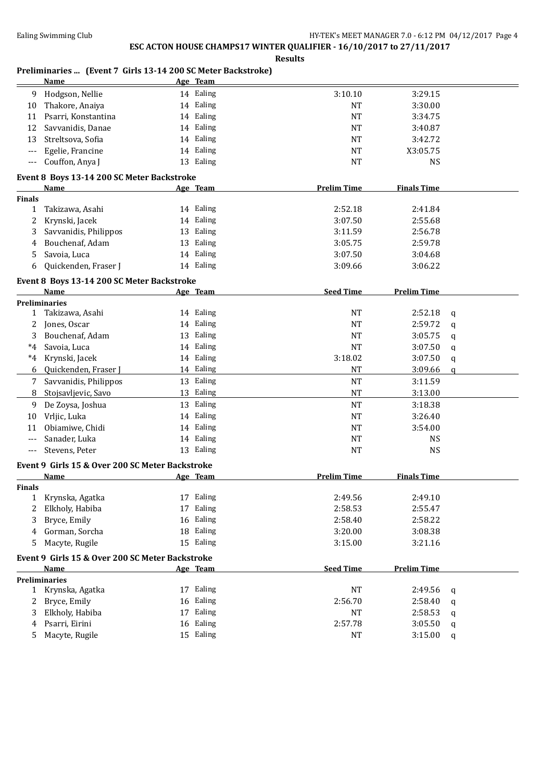**Results**

#### **Preliminaries ... (Event 7 Girls 13-14 200 SC Meter Backstroke)**

|               | <b>Name</b>                                     | Age Team  |                                          |   |
|---------------|-------------------------------------------------|-----------|------------------------------------------|---|
| 9             | Hodgson, Nellie                                 | 14 Ealing | 3:10.10<br>3:29.15                       |   |
| 10            | Thakore, Anaiya                                 | 14 Ealing | <b>NT</b><br>3:30.00                     |   |
| 11            | Psarri, Konstantina                             | 14 Ealing | <b>NT</b><br>3:34.75                     |   |
| 12            | Savvanidis, Danae                               | 14 Ealing | <b>NT</b><br>3:40.87                     |   |
| 13            | Streltsova, Sofia                               | 14 Ealing | <b>NT</b><br>3:42.72                     |   |
| ---           | Egelie, Francine                                | 14 Ealing | NT<br>X3:05.75                           |   |
| ---           | Couffon, Anya J                                 | 13 Ealing | <b>NS</b><br><b>NT</b>                   |   |
|               | Event 8 Boys 13-14 200 SC Meter Backstroke      |           |                                          |   |
|               | <b>Name</b>                                     | Age Team  | <b>Prelim Time</b><br><b>Finals Time</b> |   |
| <b>Finals</b> |                                                 |           |                                          |   |
| $\mathbf{1}$  | Takizawa, Asahi                                 | 14 Ealing | 2:52.18<br>2:41.84                       |   |
| 2             | Krynski, Jacek                                  | 14 Ealing | 3:07.50<br>2:55.68                       |   |
| 3             | Savvanidis, Philippos                           | 13 Ealing | 2:56.78<br>3:11.59                       |   |
| 4             | Bouchenaf, Adam                                 | 13 Ealing | 3:05.75<br>2:59.78                       |   |
| 5             | Savoia, Luca                                    | 14 Ealing | 3:07.50<br>3:04.68                       |   |
| 6             | Quickenden, Fraser J                            | 14 Ealing | 3:09.66<br>3:06.22                       |   |
|               |                                                 |           |                                          |   |
|               | Event 8 Boys 13-14 200 SC Meter Backstroke      |           |                                          |   |
|               | Name                                            | Age Team  | <b>Seed Time</b><br><b>Prelim Time</b>   |   |
|               | <b>Preliminaries</b>                            | 14 Ealing | NT                                       |   |
| 1             | Takizawa, Asahi                                 |           | 2:52.18                                  | q |
| 2             | Jones, Oscar<br>Bouchenaf, Adam                 | 14 Ealing | <b>NT</b><br>2:59.72                     | q |
| 3             |                                                 | 13 Ealing | <b>NT</b><br>3:05.75                     | q |
| $*4$          | Savoia, Luca                                    | 14 Ealing | <b>NT</b><br>3:07.50                     | q |
| $*4$          | Krynski, Jacek                                  | 14 Ealing | 3:18.02<br>3:07.50                       | q |
| 6             | Quickenden, Fraser J                            | 14 Ealing | <b>NT</b><br>3:09.66                     | a |
| 7             | Savvanidis, Philippos                           | 13 Ealing | $\rm{NT}$<br>3:11.59                     |   |
| 8             | Stojsavljevic, Savo                             | 13 Ealing | <b>NT</b><br>3:13.00                     |   |
| 9             | De Zoysa, Joshua                                | 13 Ealing | <b>NT</b><br>3:18.38                     |   |
| 10            | Vrljic, Luka                                    | 14 Ealing | 3:26.40<br>NT                            |   |
| 11            | Obiamiwe, Chidi                                 | 14 Ealing | <b>NT</b><br>3:54.00                     |   |
| $---$         | Sanader, Luka                                   | 14 Ealing | <b>NT</b><br><b>NS</b>                   |   |
| $---$         | Stevens, Peter                                  | 13 Ealing | <b>NS</b><br><b>NT</b>                   |   |
|               | Event 9 Girls 15 & Over 200 SC Meter Backstroke |           |                                          |   |
|               | <b>Name</b>                                     | Age Team  | <b>Prelim Time</b><br><b>Finals Time</b> |   |
| <b>Finals</b> |                                                 |           |                                          |   |
| 1             | Krynska, Agatka                                 | 17 Ealing | 2:49.56<br>2:49.10                       |   |
| 2             | Elkholy, Habiba                                 | 17 Ealing | 2:58.53<br>2:55.47                       |   |
| 3             | Bryce, Emily                                    | 16 Ealing | 2:58.22<br>2:58.40                       |   |
| 4             | Gorman, Sorcha                                  | 18 Ealing | 3:20.00<br>3:08.38                       |   |
| 5             | Macyte, Rugile                                  | 15 Ealing | 3:15.00<br>3:21.16                       |   |
|               | Event 9 Girls 15 & Over 200 SC Meter Backstroke |           |                                          |   |
|               | Name                                            | Age Team  | <b>Seed Time</b><br><b>Prelim Time</b>   |   |
|               | <b>Preliminaries</b>                            |           |                                          |   |
|               | 1 Krynska, Agatka                               | 17 Ealing | NT<br>2:49.56                            | q |
| 2             | Bryce, Emily                                    | 16 Ealing | 2:56.70<br>2:58.40                       | q |
| 3             | Elkholy, Habiba                                 | 17 Ealing | NT<br>2:58.53                            | q |
| 4             | Psarri, Eirini                                  | 16 Ealing | 2:57.78<br>3:05.50                       | q |
| 5.            | Macyte, Rugile                                  | 15 Ealing | NT<br>3:15.00                            | q |
|               |                                                 |           |                                          |   |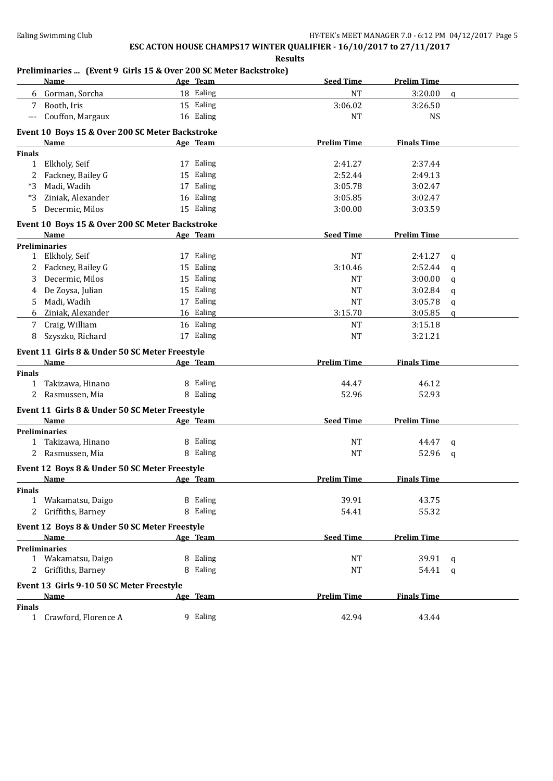**Results**

#### **Preliminaries ... (Event 9 Girls 15 & Over 200 SC Meter Backstroke)**

|                    | Name                                            | Age Team  | <b>Seed Time</b>   | <b>Prelim Time</b> |              |
|--------------------|-------------------------------------------------|-----------|--------------------|--------------------|--------------|
|                    | 6 Gorman, Sorcha                                | 18 Ealing | <b>NT</b>          | 3:20.00            | $\mathbf{q}$ |
| 7                  | Booth, Iris                                     | 15 Ealing | 3:06.02            | 3:26.50            |              |
| $---$              | Couffon, Margaux                                | 16 Ealing | <b>NT</b>          | <b>NS</b>          |              |
|                    |                                                 |           |                    |                    |              |
|                    | Event 10 Boys 15 & Over 200 SC Meter Backstroke |           |                    |                    |              |
|                    | <b>Name</b>                                     | Age Team  | <b>Prelim Time</b> | <b>Finals Time</b> |              |
| <b>Finals</b><br>1 | Elkholy, Seif                                   | 17 Ealing | 2:41.27            | 2:37.44            |              |
|                    |                                                 | 15 Ealing |                    |                    |              |
| 2                  | Fackney, Bailey G                               |           | 2:52.44            | 2:49.13            |              |
| *3                 | Madi, Wadih                                     | 17 Ealing | 3:05.78            | 3:02.47            |              |
| *3                 | Ziniak, Alexander                               | 16 Ealing | 3:05.85            | 3:02.47            |              |
| 5.                 | Decermic, Milos                                 | 15 Ealing | 3:00.00            | 3:03.59            |              |
|                    | Event 10 Boys 15 & Over 200 SC Meter Backstroke |           |                    |                    |              |
|                    | Name                                            | Age Team  | <b>Seed Time</b>   | <b>Prelim Time</b> |              |
|                    | <b>Preliminaries</b>                            |           |                    |                    |              |
| $\mathbf{1}$       | Elkholy, Seif                                   | 17 Ealing | <b>NT</b>          | 2:41.27            | q            |
| 2                  | Fackney, Bailey G                               | 15 Ealing | 3:10.46            | 2:52.44            | q            |
| 3                  | Decermic, Milos                                 | 15 Ealing | NT                 | 3:00.00            | q            |
| 4                  | De Zoysa, Julian                                | 15 Ealing | <b>NT</b>          | 3:02.84            | q            |
| 5.                 | Madi, Wadih                                     | 17 Ealing | <b>NT</b>          | 3:05.78            | $\mathbf q$  |
| 6                  | Ziniak, Alexander                               | 16 Ealing | 3:15.70            | 3:05.85            | q            |
| 7                  | Craig, William                                  | 16 Ealing | NT                 | 3:15.18            |              |
| 8                  | Szyszko, Richard                                | 17 Ealing | <b>NT</b>          | 3:21.21            |              |
|                    |                                                 |           |                    |                    |              |
|                    | Event 11 Girls 8 & Under 50 SC Meter Freestyle  |           |                    |                    |              |
| <b>Finals</b>      | Name                                            | Age Team  | <b>Prelim Time</b> | <b>Finals Time</b> |              |
|                    | 1 Takizawa, Hinano                              | 8 Ealing  | 44.47              | 46.12              |              |
| 2                  | Rasmussen, Mia                                  | 8 Ealing  | 52.96              | 52.93              |              |
|                    |                                                 |           |                    |                    |              |
|                    | Event 11 Girls 8 & Under 50 SC Meter Freestyle  |           |                    |                    |              |
|                    | Name                                            | Age Team  | <b>Seed Time</b>   | <b>Prelim Time</b> |              |
|                    | <b>Preliminaries</b>                            |           |                    |                    |              |
|                    | 1 Takizawa, Hinano                              | 8 Ealing  | NT                 | 44.47              | q            |
|                    | Rasmussen, Mia                                  | 8 Ealing  | <b>NT</b>          | 52.96              | q            |
|                    | Event 12 Boys 8 & Under 50 SC Meter Freestyle   |           |                    |                    |              |
|                    | <b>Name</b>                                     | Age Team  | <b>Prelim Time</b> | <b>Finals Time</b> |              |
| Finals             |                                                 |           |                    |                    |              |
|                    | 1 Wakamatsu, Daigo                              | 8 Ealing  | 39.91              | 43.75              |              |
|                    | 2 Griffiths, Barney                             | 8 Ealing  | 54.41              | 55.32              |              |
|                    | Event 12 Boys 8 & Under 50 SC Meter Freestyle   |           |                    |                    |              |
|                    | Name                                            | Age Team  | <b>Seed Time</b>   | <b>Prelim Time</b> |              |
|                    | <b>Preliminaries</b>                            |           |                    |                    |              |
|                    | 1 Wakamatsu, Daigo                              | 8 Ealing  | NT                 | 39.91              | q            |
|                    | 2 Griffiths, Barney                             | 8 Ealing  | NT                 | 54.41              | q            |
|                    |                                                 |           |                    |                    |              |
|                    | Event 13 Girls 9-10 50 SC Meter Freestyle       |           |                    |                    |              |
|                    | <b>Name</b>                                     | Age Team  | <b>Prelim Time</b> | <b>Finals Time</b> |              |
| <b>Finals</b>      |                                                 |           |                    |                    |              |
|                    | 1 Crawford, Florence A                          | 9 Ealing  | 42.94              | 43.44              |              |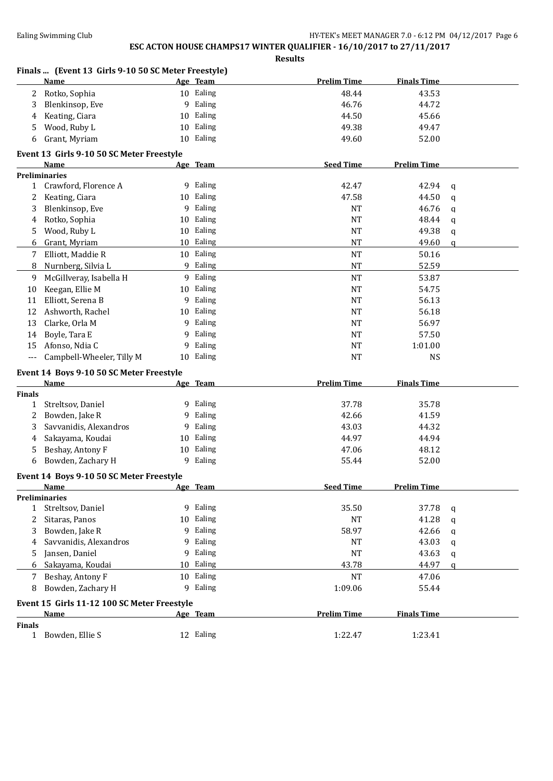|              | Finals  (Event 13 Girls 9-10 50 SC Meter Freestyle) |    |           |                    |                    |             |
|--------------|-----------------------------------------------------|----|-----------|--------------------|--------------------|-------------|
|              | Name                                                |    | Age Team  | <b>Prelim Time</b> | <b>Finals Time</b> |             |
| $2^{\circ}$  | Rotko, Sophia                                       |    | 10 Ealing | 48.44              | 43.53              |             |
| 3            | Blenkinsop, Eve                                     |    | 9 Ealing  | 46.76              | 44.72              |             |
| 4            | Keating, Ciara                                      | 10 | Ealing    | 44.50              | 45.66              |             |
| 5            | Wood, Ruby L                                        | 10 | Ealing    | 49.38              | 49.47              |             |
| 6            | Grant, Myriam                                       |    | 10 Ealing | 49.60              | 52.00              |             |
|              | Event 13 Girls 9-10 50 SC Meter Freestyle           |    |           |                    |                    |             |
|              | Name                                                |    | Age Team  | <b>Seed Time</b>   | <b>Prelim Time</b> |             |
|              | <b>Preliminaries</b>                                |    |           |                    |                    |             |
| $\mathbf{1}$ | Crawford, Florence A                                |    | 9 Ealing  | 42.47              | 42.94              | q           |
| 2            | Keating, Ciara                                      |    | 10 Ealing | 47.58              | 44.50              | $\mathbf q$ |
| 3            | Blenkinsop, Eve                                     | 9  | Ealing    | NT                 | 46.76              | q           |
| 4            | Rotko, Sophia                                       |    | 10 Ealing | <b>NT</b>          | 48.44              | $\mathbf q$ |
| 5            | Wood, Ruby L                                        |    | 10 Ealing | <b>NT</b>          | 49.38              | q           |
| 6            | Grant, Myriam                                       | 10 | Ealing    | <b>NT</b>          | 49.60              | $\mathbf q$ |
| 7            | Elliott, Maddie R                                   |    | 10 Ealing | <b>NT</b>          | 50.16              |             |
| 8            | Nurnberg, Silvia L                                  |    | 9 Ealing  | <b>NT</b>          | 52.59              |             |
| 9            | McGillveray, Isabella H                             |    | 9 Ealing  | <b>NT</b>          | 53.87              |             |
| 10           | Keegan, Ellie M                                     |    | 10 Ealing | <b>NT</b>          | 54.75              |             |
| 11           | Elliott, Serena B                                   | 9  | Ealing    | <b>NT</b>          | 56.13              |             |
| 12           | Ashworth, Rachel                                    |    | 10 Ealing | <b>NT</b>          | 56.18              |             |
| 13           | Clarke, Orla M                                      | 9  | Ealing    | <b>NT</b>          | 56.97              |             |
| 14           | Boyle, Tara E                                       | 9  | Ealing    | <b>NT</b>          | 57.50              |             |
| 15           | Afonso, Ndia C                                      | 9  | Ealing    | <b>NT</b>          | 1:01.00            |             |
| $---$        | Campbell-Wheeler, Tilly M                           |    | 10 Ealing | <b>NT</b>          | <b>NS</b>          |             |
|              | Event 14 Boys 9-10 50 SC Meter Freestyle            |    |           |                    |                    |             |
|              | Name                                                |    | Age Team  | <b>Prelim Time</b> | <b>Finals Time</b> |             |
| Finals       |                                                     |    |           |                    |                    |             |
| $\mathbf{1}$ | Streltsov, Daniel                                   |    | 9 Ealing  | 37.78              | 35.78              |             |
| 2            | Bowden, Jake R                                      | 9  | Ealing    | 42.66              | 41.59              |             |
| 3            | Savvanidis, Alexandros                              | 9  | Ealing    | 43.03              | 44.32              |             |
| 4            | Sakayama, Koudai                                    | 10 | Ealing    | 44.97              | 44.94              |             |
| 5            | Beshay, Antony F                                    | 10 | Ealing    | 47.06              | 48.12              |             |
| 6            | Bowden, Zachary H                                   | 9  | Ealing    | 55.44              | 52.00              |             |
|              | Event 14 Boys 9-10 50 SC Meter Freestyle            |    |           |                    |                    |             |
|              | Name                                                |    | Age Team  | <b>Seed Time</b>   | <b>Prelim Time</b> |             |
|              | <b>Preliminaries</b>                                |    |           |                    |                    |             |
| 1            | Streltsov, Daniel                                   |    | 9 Ealing  | 35.50              | 37.78              | q           |
| 2            | Sitaras, Panos                                      |    | 10 Ealing | NT                 | 41.28              | q           |
| 3            | Bowden, Jake R                                      | 9  | Ealing    | 58.97              | 42.66              | q           |
| 4            | Savvanidis, Alexandros                              | 9  | Ealing    | NT                 | 43.03              | q           |
| 5            | Jansen, Daniel                                      | 9  | Ealing    | <b>NT</b>          | 43.63              | q           |
| 6            | Sakayama, Koudai                                    |    | 10 Ealing | 43.78              | 44.97              | q           |
| 7            | Beshay, Antony F                                    | 10 | Ealing    | <b>NT</b>          | 47.06              |             |
| 8            | Bowden, Zachary H                                   | 9  | Ealing    | 1:09.06            | 55.44              |             |
|              | Event 15 Girls 11-12 100 SC Meter Freestyle         |    |           |                    |                    |             |
|              | <b>Name</b>                                         |    | Age Team  | <b>Prelim Time</b> | <b>Finals Time</b> |             |
| Finals       |                                                     |    |           |                    |                    |             |
|              | 1 Bowden, Ellie S                                   |    | 12 Ealing | 1:22.47            | 1:23.41            |             |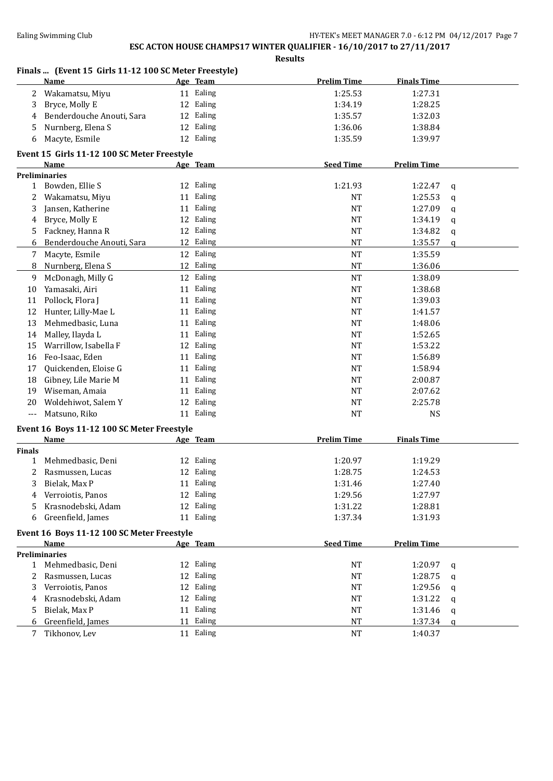|               | Finals  (Event 15 Girls 11-12 100 SC Meter Freestyle) |           |                    |                    |              |
|---------------|-------------------------------------------------------|-----------|--------------------|--------------------|--------------|
|               | <b>Name</b>                                           | Age Team  | <b>Prelim Time</b> | <b>Finals Time</b> |              |
| 2             | Wakamatsu, Miyu                                       | 11 Ealing | 1:25.53            | 1:27.31            |              |
| 3             | Bryce, Molly E                                        | 12 Ealing | 1:34.19            | 1:28.25            |              |
| 4             | Benderdouche Anouti, Sara                             | 12 Ealing | 1:35.57            | 1:32.03            |              |
| 5             | Nurnberg, Elena S                                     | 12 Ealing | 1:36.06            | 1:38.84            |              |
| 6             | Macyte, Esmile                                        | 12 Ealing | 1:35.59            | 1:39.97            |              |
|               | Event 15 Girls 11-12 100 SC Meter Freestyle           |           |                    |                    |              |
|               | Name                                                  | Age Team  | <b>Seed Time</b>   | <b>Prelim Time</b> |              |
|               | <b>Preliminaries</b>                                  |           |                    |                    |              |
|               | 1 Bowden, Ellie S                                     | 12 Ealing | 1:21.93            | 1:22.47            | q            |
| 2             | Wakamatsu, Miyu                                       | 11 Ealing | NT                 | 1:25.53            | $\mathbf q$  |
| 3             | Jansen, Katherine                                     | 11 Ealing | NT                 | 1:27.09            | q            |
| 4             | Bryce, Molly E                                        | 12 Ealing | NT                 | 1:34.19            | q            |
| 5             | Fackney, Hanna R                                      | 12 Ealing | <b>NT</b>          | 1:34.82            | q            |
| 6             | Benderdouche Anouti, Sara                             | 12 Ealing | <b>NT</b>          | 1:35.57            | $\mathbf{q}$ |
| 7             | Macyte, Esmile                                        | 12 Ealing | <b>NT</b>          | 1:35.59            |              |
| 8             | Nurnberg, Elena S                                     | 12 Ealing | <b>NT</b>          | 1:36.06            |              |
| 9             | McDonagh, Milly G                                     | 12 Ealing | <b>NT</b>          | 1:38.09            |              |
| 10            | Yamasaki, Airi                                        | 11 Ealing | <b>NT</b>          | 1:38.68            |              |
| 11            | Pollock, Flora J                                      | 11 Ealing | <b>NT</b>          | 1:39.03            |              |
| 12            | Hunter, Lilly-Mae L                                   | 11 Ealing | <b>NT</b>          | 1:41.57            |              |
| 13            | Mehmedbasic, Luna                                     | 11 Ealing | <b>NT</b>          | 1:48.06            |              |
| 14            | Malley, Ilayda L                                      | 11 Ealing | <b>NT</b>          | 1:52.65            |              |
| 15            | Warrillow, Isabella F                                 | 12 Ealing | <b>NT</b>          | 1:53.22            |              |
| 16            | Feo-Isaac, Eden                                       | 11 Ealing | <b>NT</b>          | 1:56.89            |              |
| 17            | Quickenden, Eloise G                                  | 11 Ealing | <b>NT</b>          | 1:58.94            |              |
| 18            | Gibney, Lile Marie M                                  | 11 Ealing | NT                 | 2:00.87            |              |
| 19            | Wiseman, Amaia                                        | 11 Ealing | NT                 | 2:07.62            |              |
| 20            | Woldehiwot, Salem Y                                   | 12 Ealing | NT                 | 2:25.78            |              |
| $---$         | Matsuno, Riko                                         | 11 Ealing | <b>NT</b>          | <b>NS</b>          |              |
|               |                                                       |           |                    |                    |              |
|               | Event 16 Boys 11-12 100 SC Meter Freestyle            |           |                    |                    |              |
|               | <b>Name</b>                                           | Age Team  | <b>Prelim Time</b> | <b>Finals Time</b> |              |
| <b>Finals</b> |                                                       |           |                    |                    |              |
| 1             | Mehmedbasic, Deni                                     | 12 Ealing | 1:20.97            | 1:19.29            |              |
| 2             | Rasmussen, Lucas                                      | 12 Ealing | 1:28.75            | 1:24.53            |              |
| 3             | Bielak, Max P                                         | 11 Ealing | 1:31.46            | 1:27.40            |              |
| 4             | Verroiotis, Panos                                     | 12 Ealing | 1:29.56            | 1:27.97            |              |
| 5             | Krasnodebski, Adam                                    | 12 Ealing | 1:31.22            | 1:28.81            |              |
| 6             | Greenfield, James                                     | 11 Ealing | 1:37.34            | 1:31.93            |              |
|               | Event 16 Boys 11-12 100 SC Meter Freestyle            |           |                    |                    |              |
|               | Name                                                  | Age Team  | <b>Seed Time</b>   | <b>Prelim Time</b> |              |
|               | <b>Preliminaries</b>                                  |           |                    |                    |              |
| 1             | Mehmedbasic, Deni                                     | 12 Ealing | NT                 | 1:20.97            | q            |
| 2             | Rasmussen, Lucas                                      | 12 Ealing | NT                 | 1:28.75            | $\mathbf q$  |
| 3             | Verroiotis, Panos                                     | 12 Ealing | NT                 | 1:29.56            | q            |
| 4             | Krasnodebski, Adam                                    | 12 Ealing | NT                 | 1:31.22            | q            |
| 5             | Bielak, Max P                                         | 11 Ealing | <b>NT</b>          | 1:31.46            | q            |
| 6             | Greenfield, James                                     | 11 Ealing | <b>NT</b>          | 1:37.34            | q            |
| 7             | Tikhonov, Lev                                         | 11 Ealing | <b>NT</b>          | 1:40.37            |              |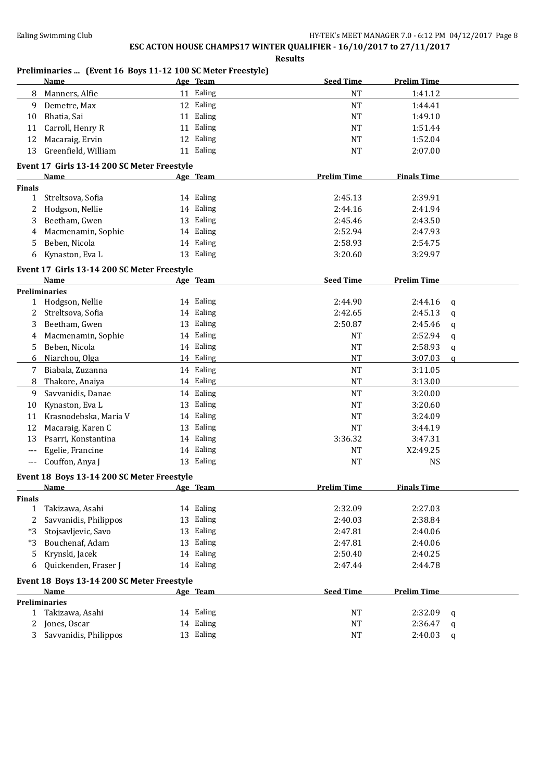**Results**

#### **Preliminaries ... (Event 16 Boys 11-12 100 SC Meter Freestyle)**

|               | <b>Name</b>                                 |    | Age Team  | <b>Seed Time</b>       | <b>Prelim Time</b>    |             |
|---------------|---------------------------------------------|----|-----------|------------------------|-----------------------|-------------|
| 8             | Manners, Alfie                              |    | 11 Ealing | <b>NT</b>              | 1:41.12               |             |
| 9             | Demetre, Max                                |    | 12 Ealing | <b>NT</b>              | 1:44.41               |             |
| 10            | Bhatia, Sai                                 |    | 11 Ealing | <b>NT</b>              | 1:49.10               |             |
| 11            | Carroll, Henry R                            |    | 11 Ealing | <b>NT</b>              | 1:51.44               |             |
| 12            | Macaraig, Ervin                             |    | 12 Ealing | <b>NT</b>              | 1:52.04               |             |
| 13            | Greenfield, William                         |    | 11 Ealing | <b>NT</b>              | 2:07.00               |             |
|               | Event 17 Girls 13-14 200 SC Meter Freestyle |    |           |                        |                       |             |
|               | <b>Name</b>                                 |    | Age Team  | <b>Prelim Time</b>     | <b>Finals Time</b>    |             |
| <b>Finals</b> |                                             |    |           |                        |                       |             |
| $\mathbf{1}$  | Streltsova, Sofia                           |    | 14 Ealing | 2:45.13                | 2:39.91               |             |
| 2             | Hodgson, Nellie                             |    | 14 Ealing | 2:44.16                | 2:41.94               |             |
| 3             | Beetham, Gwen                               |    | 13 Ealing | 2:45.46                | 2:43.50               |             |
| 4             | Macmenamin, Sophie                          |    | 14 Ealing | 2:52.94                | 2:47.93               |             |
| 5             | Beben, Nicola                               |    | 14 Ealing | 2:58.93                | 2:54.75               |             |
| 6             | Kynaston, Eva L                             |    | 13 Ealing | 3:20.60                | 3:29.97               |             |
|               |                                             |    |           |                        |                       |             |
|               | Event 17 Girls 13-14 200 SC Meter Freestyle |    |           |                        |                       |             |
|               | <b>Name</b><br><b>Preliminaries</b>         |    | Age Team  | <b>Seed Time</b>       | <b>Prelim Time</b>    |             |
| 1             | Hodgson, Nellie                             |    | 14 Ealing | 2:44.90                | 2:44.16               | q           |
| 2             | Streltsova, Sofia                           |    | 14 Ealing | 2:42.65                | 2:45.13               | q           |
| 3             | Beetham, Gwen                               |    | 13 Ealing | 2:50.87                | 2:45.46               | q           |
| 4             | Macmenamin, Sophie                          |    | 14 Ealing | <b>NT</b>              | 2:52.94               | q           |
| 5             | Beben, Nicola                               |    | 14 Ealing | <b>NT</b>              | 2:58.93               | $\mathbf q$ |
| 6             | Niarchou, Olga                              |    | 14 Ealing | <b>NT</b>              | 3:07.03               | $\mathbf q$ |
| 7             | Biabala, Zuzanna                            |    | 14 Ealing | <b>NT</b>              | 3:11.05               |             |
| 8             | Thakore, Anaiya                             |    | 14 Ealing | <b>NT</b>              | 3:13.00               |             |
|               | Savvanidis, Danae                           |    | 14 Ealing | <b>NT</b>              | 3:20.00               |             |
| 9             |                                             |    | 13 Ealing | <b>NT</b>              | 3:20.60               |             |
| 10<br>11      | Kynaston, Eva L<br>Krasnodebska, Maria V    |    | 14 Ealing | <b>NT</b>              | 3:24.09               |             |
|               |                                             | 13 | Ealing    |                        |                       |             |
| 12<br>13      | Macaraig, Karen C<br>Psarri, Konstantina    |    | 14 Ealing | <b>NT</b><br>3:36.32   | 3:44.19<br>3:47.31    |             |
|               |                                             |    | 14 Ealing |                        |                       |             |
| $---$         | Egelie, Francine                            |    | 13 Ealing | <b>NT</b><br><b>NT</b> | X2:49.25<br><b>NS</b> |             |
| $---$         | Couffon, Anya J                             |    |           |                        |                       |             |
|               | Event 18 Boys 13-14 200 SC Meter Freestyle  |    |           |                        |                       |             |
|               | Name                                        |    | Age Team  | <b>Prelim Time</b>     | <b>Finals Time</b>    |             |
| <b>Finals</b> |                                             |    |           |                        |                       |             |
| $\mathbf{1}$  | Takizawa, Asahi                             |    | 14 Ealing | 2:32.09                | 2:27.03               |             |
| 2             | Savvanidis, Philippos                       |    | 13 Ealing | 2:40.03                | 2:38.84               |             |
| $*3$          | Stojsavljevic, Savo                         |    | 13 Ealing | 2:47.81                | 2:40.06               |             |
| $*3$          | Bouchenaf, Adam                             | 13 | Ealing    | 2:47.81                | 2:40.06               |             |
| 5             | Krynski, Jacek                              |    | 14 Ealing | 2:50.40                | 2:40.25               |             |
| 6             | Quickenden, Fraser J                        |    | 14 Ealing | 2:47.44                | 2:44.78               |             |
|               | Event 18 Boys 13-14 200 SC Meter Freestyle  |    |           |                        |                       |             |
|               | Name                                        |    | Age Team  | <b>Seed Time</b>       | <b>Prelim Time</b>    |             |
|               | <b>Preliminaries</b>                        |    |           |                        |                       |             |
| $\mathbf{1}$  | Takizawa, Asahi                             |    | 14 Ealing | NT                     | 2:32.09               | q           |
| 2             | Jones, Oscar                                |    | 14 Ealing | <b>NT</b>              | 2:36.47               | q           |
| 3             | Savvanidis, Philippos                       |    | 13 Ealing | <b>NT</b>              | 2:40.03               | q           |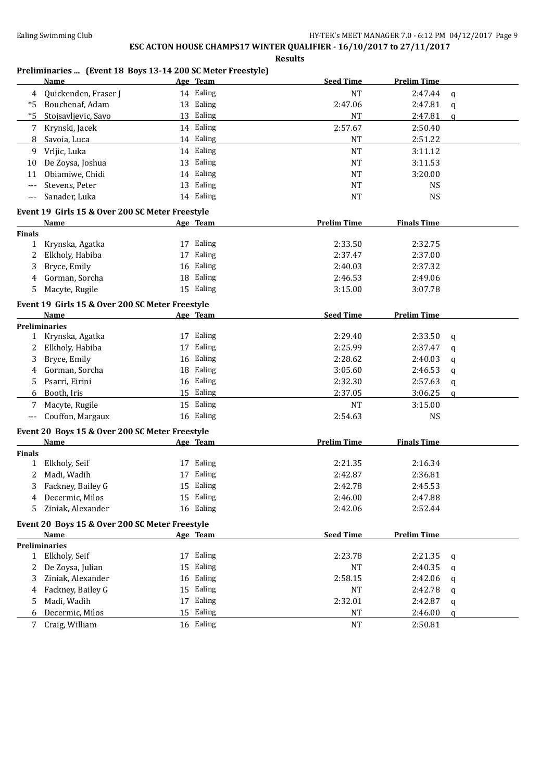**Results**

#### **Preliminaries ... (Event 18 Boys 13-14 200 SC Meter Freestyle)**

|               | <b>Name</b>                                     | Age Team  | <b>Seed Time</b>   | <b>Prelim Time</b> |              |
|---------------|-------------------------------------------------|-----------|--------------------|--------------------|--------------|
| 4             | Quickenden, Fraser J                            | 14 Ealing | <b>NT</b>          | 2:47.44            | $\mathbf q$  |
| *5            | Bouchenaf, Adam                                 | 13 Ealing | 2:47.06            | 2:47.81            | $\mathbf q$  |
| $*5$          | Stojsavljevic, Savo                             | 13 Ealing | <b>NT</b>          | 2:47.81            | q            |
| 7             | Krynski, Jacek                                  | 14 Ealing | 2:57.67            | 2:50.40            |              |
| 8             | Savoia, Luca                                    | 14 Ealing | <b>NT</b>          | 2:51.22            |              |
| 9             | Vrljic, Luka                                    | 14 Ealing | <b>NT</b>          | 3:11.12            |              |
|               |                                                 | 13 Ealing | <b>NT</b>          | 3:11.53            |              |
| 10            | De Zoysa, Joshua                                |           |                    |                    |              |
| 11            | Obiamiwe, Chidi                                 | 14 Ealing | <b>NT</b>          | 3:20.00            |              |
| $---$         | Stevens, Peter                                  | 13 Ealing | <b>NT</b>          | <b>NS</b>          |              |
| ---           | Sanader, Luka                                   | 14 Ealing | <b>NT</b>          | <b>NS</b>          |              |
|               | Event 19 Girls 15 & Over 200 SC Meter Freestyle |           |                    |                    |              |
|               | <b>Name</b>                                     | Age Team  | <b>Prelim Time</b> | <b>Finals Time</b> |              |
| <b>Finals</b> |                                                 |           |                    |                    |              |
| 1             | Krynska, Agatka                                 | 17 Ealing | 2:33.50            | 2:32.75            |              |
| 2             | Elkholy, Habiba                                 | 17 Ealing | 2:37.47            | 2:37.00            |              |
| 3             | Bryce, Emily                                    | 16 Ealing | 2:40.03            | 2:37.32            |              |
| 4             | Gorman, Sorcha                                  | 18 Ealing | 2:46.53            | 2:49.06            |              |
| 5.            | Macyte, Rugile                                  | 15 Ealing | 3:15.00            | 3:07.78            |              |
|               | Event 19 Girls 15 & Over 200 SC Meter Freestyle |           |                    |                    |              |
|               | <b>Name</b>                                     | Age Team  | <b>Seed Time</b>   | <b>Prelim Time</b> |              |
|               | <b>Preliminaries</b>                            |           |                    |                    |              |
|               | 1 Krynska, Agatka                               | 17 Ealing | 2:29.40            | 2:33.50            | q            |
| 2             | Elkholy, Habiba                                 | 17 Ealing | 2:25.99            | 2:37.47            | q            |
| 3             | Bryce, Emily                                    | 16 Ealing | 2:28.62            | 2:40.03            | q            |
| 4             | Gorman, Sorcha                                  | 18 Ealing | 3:05.60            | 2:46.53            | q            |
| 5             | Psarri, Eirini                                  | 16 Ealing | 2:32.30            | 2:57.63            | $\mathbf q$  |
| 6             | Booth, Iris                                     | 15 Ealing | 2:37.05            | 3:06.25            | $\mathbf{q}$ |
| 7             | Macyte, Rugile                                  | 15 Ealing | <b>NT</b>          | 3:15.00            |              |
| ---           | Couffon, Margaux                                | 16 Ealing | 2:54.63            | <b>NS</b>          |              |
|               | Event 20 Boys 15 & Over 200 SC Meter Freestyle  |           |                    |                    |              |
|               | <b>Name</b>                                     | Age Team  | <b>Prelim Time</b> | <b>Finals Time</b> |              |
| <b>Finals</b> |                                                 |           |                    |                    |              |
| $\mathbf{1}$  | Elkholy, Seif                                   | 17 Ealing | 2:21.35            | 2:16.34            |              |
| 2             | Madi, Wadih                                     | 17 Ealing | 2:42.87            | 2:36.81            |              |
| 3             | Fackney, Bailey G                               | 15 Ealing | 2:42.78            | 2:45.53            |              |
|               | Decermic, Milos                                 | 15 Ealing | 2:46.00            | 2:47.88            |              |
| 4             | Ziniak, Alexander                               | 16 Ealing | 2:42.06            | 2:52.44            |              |
| 5             |                                                 |           |                    |                    |              |
|               | Event 20 Boys 15 & Over 200 SC Meter Freestyle  |           |                    |                    |              |
|               | Name                                            | Age Team  | <b>Seed Time</b>   | <b>Prelim Time</b> |              |
|               | <b>Preliminaries</b>                            |           |                    |                    |              |
|               | 1 Elkholy, Seif                                 | 17 Ealing | 2:23.78            | 2:21.35            | q            |
| 2             | De Zoysa, Julian                                | 15 Ealing | NT                 | 2:40.35            | $\mathbf q$  |
| 3             | Ziniak, Alexander                               | 16 Ealing | 2:58.15            | 2:42.06            | q            |
| 4             | Fackney, Bailey G                               | 15 Ealing | NT                 | 2:42.78            | q            |
| 5.            | Madi, Wadih                                     | 17 Ealing | 2:32.01            | 2:42.87            | q            |
| 6             | Decermic, Milos                                 | 15 Ealing | <b>NT</b>          | 2:46.00            | a            |
| 7             | Craig, William                                  | 16 Ealing | <b>NT</b>          | 2:50.81            |              |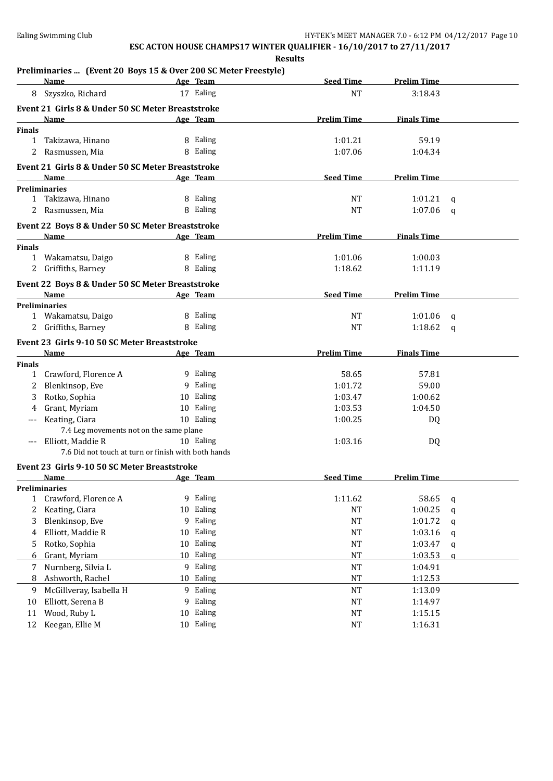**Results**

#### **Preliminaries ... (Event 20 Boys 15 & Over 200 SC Meter Freestyle)**

|               | <b>Name</b>                                         |    | Age Team        | <b>Seed Time</b>   | <b>Prelim Time</b> |   |
|---------------|-----------------------------------------------------|----|-----------------|--------------------|--------------------|---|
| 8             | Szyszko, Richard                                    |    | 17 Ealing       | <b>NT</b>          | 3:18.43            |   |
|               | Event 21 Girls 8 & Under 50 SC Meter Breaststroke   |    |                 |                    |                    |   |
|               | Name                                                |    | Age Team        | <b>Prelim Time</b> | <b>Finals Time</b> |   |
| <b>Finals</b> |                                                     |    |                 |                    |                    |   |
| $\mathbf{1}$  | Takizawa, Hinano                                    |    | 8 Ealing        | 1:01.21            | 59.19              |   |
| 2             | Rasmussen, Mia                                      |    | 8 Ealing        | 1:07.06            | 1:04.34            |   |
|               | Event 21 Girls 8 & Under 50 SC Meter Breaststroke   |    |                 |                    |                    |   |
|               | Name                                                |    | Age Team        | <b>Seed Time</b>   | <b>Prelim Time</b> |   |
|               | <b>Preliminaries</b>                                |    |                 |                    |                    |   |
|               | 1 Takizawa, Hinano                                  |    | 8 Ealing        | NT                 | 1:01.21            | q |
|               | 2 Rasmussen, Mia                                    |    | 8 Ealing        | NT                 | 1:07.06            | q |
|               | Event 22 Boys 8 & Under 50 SC Meter Breaststroke    |    |                 |                    |                    |   |
|               | <b>Name</b>                                         |    | Age Team        | <b>Prelim Time</b> | <b>Finals Time</b> |   |
| <b>Finals</b> |                                                     |    |                 |                    |                    |   |
|               | 1 Wakamatsu, Daigo                                  |    | 8 Ealing        | 1:01.06            | 1:00.03            |   |
|               | 2 Griffiths, Barney                                 |    | 8 Ealing        | 1:18.62            | 1:11.19            |   |
|               | Event 22 Boys 8 & Under 50 SC Meter Breaststroke    |    |                 |                    |                    |   |
|               | Name                                                |    | Age Team        | <b>Seed Time</b>   | <b>Prelim Time</b> |   |
|               | <b>Preliminaries</b>                                |    |                 |                    |                    |   |
|               | 1 Wakamatsu, Daigo                                  |    | 8 Ealing        | NT                 | 1:01.06            | q |
|               | 2 Griffiths, Barney                                 |    | 8 Ealing        | NT                 | 1:18.62            | q |
|               | Event 23 Girls 9-10 50 SC Meter Breaststroke        |    |                 |                    |                    |   |
|               | <b>Name</b>                                         |    | Age Team        | <b>Prelim Time</b> | <b>Finals Time</b> |   |
| <b>Finals</b> |                                                     |    |                 |                    |                    |   |
| $\mathbf{1}$  | Crawford, Florence A                                |    | 9 Ealing        | 58.65              | 57.81              |   |
| 2             | Blenkinsop, Eve                                     |    | 9 Ealing        | 1:01.72            | 59.00              |   |
| 3             | Rotko, Sophia                                       |    | 10 Ealing       | 1:03.47            | 1:00.62            |   |
|               | Grant, Myriam                                       |    | 10 Ealing       | 1:03.53            | 1:04.50            |   |
|               | Keating, Ciara                                      |    | 10 Ealing       | 1:00.25            | DQ                 |   |
|               | 7.4 Leg movements not on the same plane             |    |                 |                    |                    |   |
| $---$         | Elliott, Maddie R                                   |    | 10 Ealing       | 1:03.16            | DQ                 |   |
|               | 7.6 Did not touch at turn or finish with both hands |    |                 |                    |                    |   |
|               | Event 23 Girls 9-10 50 SC Meter Breaststroke        |    |                 |                    |                    |   |
|               | Name                                                |    | <u>Age Team</u> | <b>Seed Time</b>   | <b>Prelim Time</b> |   |
|               | <b>Preliminaries</b>                                |    |                 |                    |                    |   |
| 1             | Crawford, Florence A                                |    | 9 Ealing        | 1:11.62            | 58.65              | q |
| 2             | Keating, Ciara                                      |    | 10 Ealing       | <b>NT</b>          | 1:00.25            | q |
| 3             | Blenkinsop, Eve                                     |    | 9 Ealing        | NT                 | 1:01.72            | q |
| 4             | Elliott, Maddie R                                   | 10 | Ealing          | NT                 | 1:03.16            | q |
| 5             | Rotko, Sophia                                       |    | 10 Ealing       | <b>NT</b>          | 1:03.47            | q |
| 6             | Grant, Myriam                                       |    | 10 Ealing       | <b>NT</b>          | 1:03.53            | q |
| 7             | Nurnberg, Silvia L                                  |    | 9 Ealing        | $\rm{NT}$          | 1:04.91            |   |
| 8             | Ashworth, Rachel                                    |    | 10 Ealing       | $\rm{NT}$          | 1:12.53            |   |
| 9             | McGillveray, Isabella H                             |    | 9 Ealing        | NT                 | 1:13.09            |   |
| 10            | Elliott, Serena B                                   |    | 9 Ealing        | NT                 | 1:14.97            |   |
| 11            | Wood, Ruby L                                        | 10 | Ealing          | NT                 | 1:15.15            |   |
| 12            | Keegan, Ellie M                                     |    | 10 Ealing       | <b>NT</b>          | 1:16.31            |   |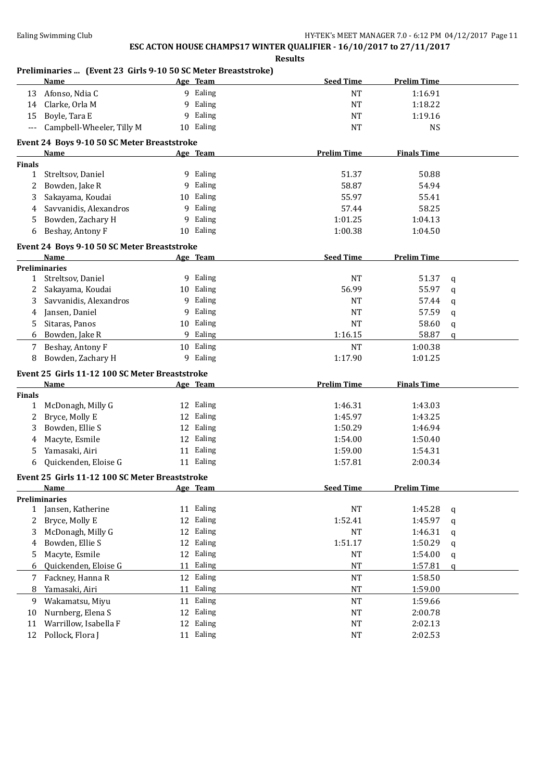**Results**

#### **Preliminaries ... (Event 23 Girls 9-10 50 SC Meter Breaststroke)**

|               | Name                                                |    | Age Team  | <b>Seed Time</b>   | <b>Prelim Time</b> |               |
|---------------|-----------------------------------------------------|----|-----------|--------------------|--------------------|---------------|
| 13            | Afonso, Ndia C                                      |    | 9 Ealing  | <b>NT</b>          | 1:16.91            |               |
| 14            | Clarke, Orla M                                      | 9  | Ealing    | <b>NT</b>          | 1:18.22            |               |
| 15            | Boyle, Tara E                                       | 9  | Ealing    | NT                 | 1:19.16            |               |
| ---           | Campbell-Wheeler, Tilly M                           |    | 10 Ealing | <b>NT</b>          | <b>NS</b>          |               |
|               |                                                     |    |           |                    |                    |               |
|               | Event 24 Boys 9-10 50 SC Meter Breaststroke<br>Name |    | Age Team  | <b>Prelim Time</b> | <b>Finals Time</b> |               |
| <b>Finals</b> |                                                     |    |           |                    |                    |               |
| 1             | Streltsov, Daniel                                   |    | 9 Ealing  | 51.37              | 50.88              |               |
| 2             | Bowden, Jake R                                      | 9  | Ealing    | 58.87              | 54.94              |               |
| 3             | Sakayama, Koudai                                    | 10 | Ealing    | 55.97              | 55.41              |               |
|               | Savvanidis, Alexandros                              | 9  | Ealing    | 57.44              | 58.25              |               |
| 4             |                                                     |    |           |                    |                    |               |
| 5             | Bowden, Zachary H                                   | 9  | Ealing    | 1:01.25            | 1:04.13            |               |
| 6             | Beshay, Antony F                                    |    | 10 Ealing | 1:00.38            | 1:04.50            |               |
|               | Event 24 Boys 9-10 50 SC Meter Breaststroke         |    |           |                    |                    |               |
|               | Name                                                |    | Age Team  | <b>Seed Time</b>   | <b>Prelim Time</b> |               |
|               | <b>Preliminaries</b>                                |    |           |                    |                    |               |
| $\mathbf{1}$  | Streltsov, Daniel                                   |    | 9 Ealing  | NT                 | 51.37              | q             |
| 2             | Sakayama, Koudai                                    |    | 10 Ealing | 56.99              | 55.97              | q             |
| 3             | Savvanidis, Alexandros                              |    | 9 Ealing  | NT                 | 57.44              | q             |
| 4             | Jansen, Daniel                                      | 9  | Ealing    | <b>NT</b>          | 57.59              | q             |
| 5             | Sitaras, Panos                                      |    | 10 Ealing | <b>NT</b>          | 58.60              | $\mathsf{q}$  |
| 6             | Bowden, Jake R                                      |    | 9 Ealing  | 1:16.15            | 58.87              | $\mathfrak q$ |
| 7             | Beshay, Antony F                                    | 10 | Ealing    | <b>NT</b>          | 1:00.38            |               |
| 8             | Bowden, Zachary H                                   | 9  | Ealing    | 1:17.90            | 1:01.25            |               |
|               | Event 25 Girls 11-12 100 SC Meter Breaststroke      |    |           |                    |                    |               |
|               | Name                                                |    | Age Team  | <b>Prelim Time</b> | <b>Finals Time</b> |               |
| <b>Finals</b> |                                                     |    |           |                    |                    |               |
| 1             | McDonagh, Milly G                                   |    | 12 Ealing | 1:46.31            | 1:43.03            |               |
| 2             | Bryce, Molly E                                      |    | 12 Ealing | 1:45.97            | 1:43.25            |               |
| 3             | Bowden, Ellie S                                     |    | 12 Ealing | 1:50.29            | 1:46.94            |               |
| 4             | Macyte, Esmile                                      |    | 12 Ealing | 1:54.00            | 1:50.40            |               |
| 5             | Yamasaki, Airi                                      |    | 11 Ealing | 1:59.00            | 1:54.31            |               |
| 6             | Quickenden, Eloise G                                |    | 11 Ealing | 1:57.81            | 2:00.34            |               |
|               |                                                     |    |           |                    |                    |               |
|               | Event 25 Girls 11-12 100 SC Meter Breaststroke      |    |           |                    |                    |               |
|               | <u>Name</u>                                         |    | Age Team  | <b>Seed Time</b>   | <b>Prelim Time</b> |               |
|               | <b>Preliminaries</b><br>Jansen, Katherine           |    | 11 Ealing | NT                 | 1:45.28            |               |
| $\mathbf{1}$  |                                                     |    | 12 Ealing |                    |                    | q             |
| 2             | Bryce, Molly E                                      |    | Ealing    | 1:52.41            | 1:45.97            | q             |
| 3             | McDonagh, Milly G                                   | 12 |           | NT                 | 1:46.31            | q             |
| 4             | Bowden, Ellie S                                     | 12 | Ealing    | 1:51.17            | 1:50.29            | q             |
| 5             | Macyte, Esmile                                      | 12 | Ealing    | <b>NT</b>          | 1:54.00            | q             |
| 6             | Quickenden, Eloise G                                | 11 | Ealing    | <b>NT</b>          | 1:57.81            | a             |
| 7             | Fackney, Hanna R                                    | 12 | Ealing    | $\rm{NT}$          | 1:58.50            |               |
| 8             | Yamasaki, Airi                                      | 11 | Ealing    | $\rm{NT}$          | 1:59.00            |               |
| 9             | Wakamatsu, Miyu                                     |    | 11 Ealing | $\rm{NT}$          | 1:59.66            |               |
| 10            | Nurnberg, Elena S                                   | 12 | Ealing    | NT                 | 2:00.78            |               |
| 11            | Warrillow, Isabella F                               | 12 | Ealing    | NT                 | 2:02.13            |               |
| 12            | Pollock, Flora J                                    |    | 11 Ealing | <b>NT</b>          | 2:02.53            |               |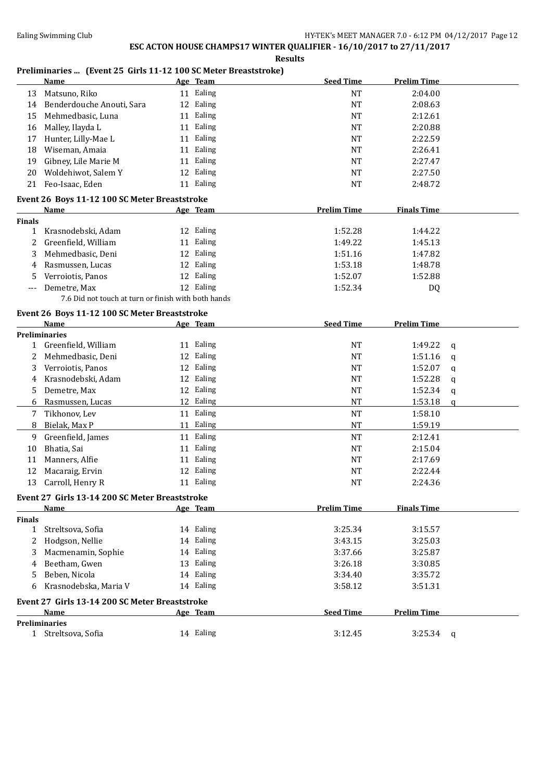**Results**

### **Preliminaries ... (Event 25 Girls 11-12 100 SC Meter Breaststroke)**

|               | reminiaries  (Event 25 GHTs II-I2 TOO 50 Meter Dreaststroke)<br>Name | Age Team  | <b>Seed Time</b>   | <b>Prelim Time</b> |              |
|---------------|----------------------------------------------------------------------|-----------|--------------------|--------------------|--------------|
| 13            | Matsuno, Riko                                                        | 11 Ealing | <b>NT</b>          | 2:04.00            |              |
| 14            | Benderdouche Anouti, Sara                                            | 12 Ealing | <b>NT</b>          | 2:08.63            |              |
| 15            | Mehmedbasic, Luna                                                    | 11 Ealing | <b>NT</b>          | 2:12.61            |              |
| 16            | Malley, Ilayda L                                                     | 11 Ealing | <b>NT</b>          | 2:20.88            |              |
| 17            | Hunter, Lilly-Mae L                                                  | 11 Ealing | <b>NT</b>          | 2:22.59            |              |
| 18            | Wiseman, Amaia                                                       | 11 Ealing | <b>NT</b>          | 2:26.41            |              |
| 19            | Gibney, Lile Marie M                                                 | 11 Ealing | <b>NT</b>          | 2:27.47            |              |
| 20            | Woldehiwot, Salem Y                                                  | 12 Ealing | <b>NT</b>          | 2:27.50            |              |
| 21            | Feo-Isaac, Eden                                                      | 11 Ealing | <b>NT</b>          | 2:48.72            |              |
|               |                                                                      |           |                    |                    |              |
|               | Event 26 Boys 11-12 100 SC Meter Breaststroke<br><b>Name</b>         | Age Team  | <b>Prelim Time</b> | <b>Finals Time</b> |              |
| <b>Finals</b> |                                                                      |           |                    |                    |              |
| 1             | Krasnodebski, Adam                                                   | 12 Ealing | 1:52.28            | 1:44.22            |              |
| 2             | Greenfield, William                                                  | 11 Ealing | 1:49.22            | 1:45.13            |              |
| 3             | Mehmedbasic, Deni                                                    | 12 Ealing | 1:51.16            | 1:47.82            |              |
| 4             | Rasmussen, Lucas                                                     | 12 Ealing | 1:53.18            | 1:48.78            |              |
| 5             | Verroiotis, Panos                                                    | 12 Ealing | 1:52.07            | 1:52.88            |              |
| ---           | Demetre, Max                                                         | 12 Ealing | 1:52.34            | DQ                 |              |
|               | 7.6 Did not touch at turn or finish with both hands                  |           |                    |                    |              |
|               |                                                                      |           |                    |                    |              |
|               | Event 26 Boys 11-12 100 SC Meter Breaststroke                        |           |                    |                    |              |
|               | Name<br><b>Preliminaries</b>                                         | Age Team  | <b>Seed Time</b>   | <b>Prelim Time</b> |              |
|               | 1 Greenfield, William                                                | 11 Ealing | <b>NT</b>          | 1:49.22            |              |
| 2             | Mehmedbasic, Deni                                                    | 12 Ealing | <b>NT</b>          | 1:51.16            | $\mathbf{q}$ |
|               |                                                                      | 12 Ealing |                    |                    | q            |
| 3             | Verroiotis, Panos                                                    |           | <b>NT</b>          | 1:52.07            | q            |
| 4             | Krasnodebski, Adam                                                   | 12 Ealing | <b>NT</b>          | 1:52.28            | q            |
| 5             | Demetre, Max                                                         | 12 Ealing | <b>NT</b>          | 1:52.34            | q            |
| 6             | Rasmussen, Lucas                                                     | 12 Ealing | <b>NT</b>          | 1:53.18            | q            |
| 7             | Tikhonov, Lev                                                        | 11 Ealing | <b>NT</b>          | 1:58.10            |              |
| 8             | Bielak, Max P                                                        | 11 Ealing | NT                 | 1:59.19            |              |
| 9             | Greenfield, James                                                    | 11 Ealing | <b>NT</b>          | 2:12.41            |              |
| 10            | Bhatia, Sai                                                          | 11 Ealing | <b>NT</b>          | 2:15.04            |              |
| 11            | Manners, Alfie                                                       | 11 Ealing | NT                 | 2:17.69            |              |
| 12            | Macaraig, Ervin                                                      | 12 Ealing | NT                 | 2:22.44            |              |
| 13            | Carroll, Henry R                                                     | 11 Ealing | NT                 | 2:24.36            |              |
|               | Event 27 Girls 13-14 200 SC Meter Breaststroke                       |           |                    |                    |              |
|               | Name                                                                 | Age Team  | <b>Prelim Time</b> | <b>Finals Time</b> |              |
| <b>Finals</b> |                                                                      |           |                    |                    |              |
| 1             | Streltsova, Sofia                                                    | 14 Ealing | 3:25.34            | 3:15.57            |              |
| 2             | Hodgson, Nellie                                                      | 14 Ealing | 3:43.15            | 3:25.03            |              |
| 3             | Macmenamin, Sophie                                                   | 14 Ealing | 3:37.66            | 3:25.87            |              |
| 4             | Beetham, Gwen                                                        | 13 Ealing | 3:26.18            | 3:30.85            |              |
| 5             | Beben, Nicola                                                        | 14 Ealing | 3:34.40            | 3:35.72            |              |
| 6             | Krasnodebska, Maria V                                                | 14 Ealing | 3:58.12            | 3:51.31            |              |
|               | Event 27 Girls 13-14 200 SC Meter Breaststroke                       |           |                    |                    |              |
|               | Name                                                                 | Age Team  | <b>Seed Time</b>   | <b>Prelim Time</b> |              |
|               | <b>Preliminaries</b>                                                 |           |                    |                    |              |
|               | 1 Streltsova, Sofia                                                  | 14 Ealing | 3:12.45            | 3:25.34            | q            |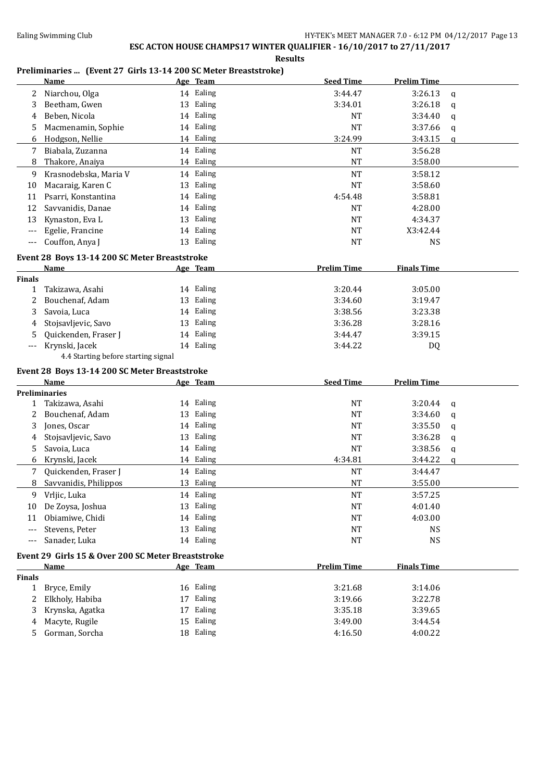**Results**

#### **Preliminaries ... (Event 27 Girls 13-14 200 SC Meter Breaststroke)**

|               | <b>Name</b>                                        |    | Age Team  | <b>Seed Time</b>   | <b>Prelim Time</b> |             |
|---------------|----------------------------------------------------|----|-----------|--------------------|--------------------|-------------|
| 2             | Niarchou, Olga                                     |    | 14 Ealing | 3:44.47            | 3:26.13            | q           |
| 3             | Beetham, Gwen                                      |    | 13 Ealing | 3:34.01            | 3:26.18            | q           |
| 4             | Beben, Nicola                                      |    | 14 Ealing | <b>NT</b>          | 3:34.40            | q           |
| 5             | Macmenamin, Sophie                                 |    | 14 Ealing | <b>NT</b>          | 3:37.66            | q           |
| 6             | Hodgson, Nellie                                    |    | 14 Ealing | 3:24.99            | 3:43.15            | q           |
| 7             | Biabala, Zuzanna                                   |    | 14 Ealing | NT                 | 3:56.28            |             |
| 8             | Thakore, Anaiya                                    |    | 14 Ealing | <b>NT</b>          | 3:58.00            |             |
| 9             | Krasnodebska, Maria V                              |    | 14 Ealing | <b>NT</b>          | 3:58.12            |             |
| 10            | Macaraig, Karen C                                  | 13 | Ealing    | <b>NT</b>          | 3:58.60            |             |
| 11            | Psarri, Konstantina                                |    | 14 Ealing | 4:54.48            | 3:58.81            |             |
| 12            | Savvanidis, Danae                                  |    | 14 Ealing | <b>NT</b>          | 4:28.00            |             |
| 13            | Kynaston, Eva L                                    |    | 13 Ealing | <b>NT</b>          | 4:34.37            |             |
| $---$         | Egelie, Francine                                   |    | 14 Ealing | <b>NT</b>          | X3:42.44           |             |
| $---$         | Couffon, Anya J                                    |    | 13 Ealing | <b>NT</b>          | <b>NS</b>          |             |
|               | Event 28 Boys 13-14 200 SC Meter Breaststroke      |    |           |                    |                    |             |
|               | Name                                               |    | Age Team  | <b>Prelim Time</b> | <b>Finals Time</b> |             |
| <b>Finals</b> |                                                    |    |           |                    |                    |             |
| 1             | Takizawa, Asahi                                    |    | 14 Ealing | 3:20.44            | 3:05.00            |             |
| 2             | Bouchenaf, Adam                                    |    | 13 Ealing | 3:34.60            | 3:19.47            |             |
| 3             | Savoia, Luca                                       |    | 14 Ealing | 3:38.56            | 3:23.38            |             |
| 4             | Stojsavljevic, Savo                                |    | 13 Ealing | 3:36.28            | 3:28.16            |             |
| 5             | Quickenden, Fraser J                               |    | 14 Ealing | 3:44.47            | 3:39.15            |             |
| ---           | Krynski, Jacek                                     |    | 14 Ealing | 3:44.22            | DQ                 |             |
|               | 4.4 Starting before starting signal                |    |           |                    |                    |             |
|               | Event 28 Boys 13-14 200 SC Meter Breaststroke      |    |           |                    |                    |             |
|               | Name                                               |    | Age Team  | <b>Seed Time</b>   | <b>Prelim Time</b> |             |
|               | <b>Preliminaries</b>                               |    |           |                    |                    |             |
| 1             | Takizawa, Asahi                                    |    | 14 Ealing | <b>NT</b>          | 3:20.44            | $\mathbf q$ |
| 2             | Bouchenaf, Adam                                    | 13 | Ealing    | <b>NT</b>          | 3:34.60            | q           |
| 3             | Jones, Oscar                                       |    | 14 Ealing | <b>NT</b>          | 3:35.50            | q           |
| 4             | Stojsavljevic, Savo                                |    | 13 Ealing | <b>NT</b>          | 3:36.28            | q           |
| 5             | Savoia, Luca                                       |    | 14 Ealing | <b>NT</b>          | 3:38.56            | q           |
| 6             | Krynski, Jacek                                     |    | 14 Ealing | 4:34.81            | 3:44.22            | q           |
| 7             | Quickenden, Fraser J                               |    | 14 Ealing | <b>NT</b>          | 3:44.47            |             |
| 8             | Savvanidis, Philippos                              |    | 13 Ealing | <b>NT</b>          | 3:55.00            |             |
| 9             | Vrljic, Luka                                       |    | 14 Ealing | <sub>NT</sub>      | 3:57.25            |             |
| 10            | De Zoysa, Joshua                                   |    | 13 Ealing | <b>NT</b>          | 4:01.40            |             |
| 11            | Obiamiwe, Chidi                                    |    | 14 Ealing | NT                 | 4:03.00            |             |
| $---$         | Stevens, Peter                                     |    | 13 Ealing | NT                 | <b>NS</b>          |             |
| ---           | Sanader, Luka                                      |    | 14 Ealing | NT                 | <b>NS</b>          |             |
|               | Event 29 Girls 15 & Over 200 SC Meter Breaststroke |    |           |                    |                    |             |
|               | Name                                               |    | Age Team  | <b>Prelim Time</b> | <b>Finals Time</b> |             |
| <b>Finals</b> |                                                    |    |           |                    |                    |             |
| $\mathbf{1}$  | Bryce, Emily                                       |    | 16 Ealing | 3:21.68            | 3:14.06            |             |
| 2             | Elkholy, Habiba                                    |    | 17 Ealing | 3:19.66            | 3:22.78            |             |
| 3             | Krynska, Agatka                                    |    | 17 Ealing | 3:35.18            | 3:39.65            |             |
| 4             | Macyte, Rugile                                     |    | 15 Ealing | 3:49.00            | 3:44.54            |             |
| 5             | Gorman, Sorcha                                     |    | 18 Ealing | 4:16.50            | 4:00.22            |             |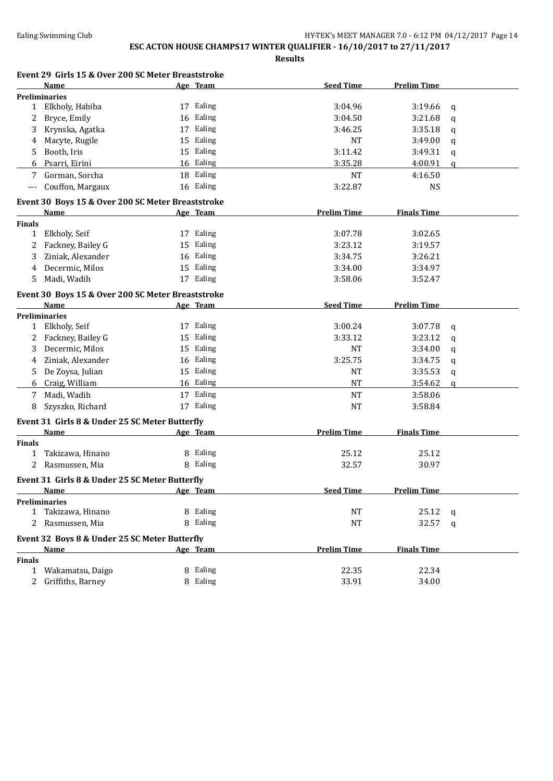| Event 29 Girls 15 & Over 200 SC Meter Breaststroke |
|----------------------------------------------------|
|                                                    |

|               | Name                                              | Age Team  | <b>Seed Time</b>   | <b>Prelim Time</b> |             |
|---------------|---------------------------------------------------|-----------|--------------------|--------------------|-------------|
|               | <b>Preliminaries</b>                              |           |                    |                    |             |
| $\mathbf{1}$  | Elkholy, Habiba                                   | 17 Ealing | 3:04.96            | 3:19.66            | q           |
| 2             | Bryce, Emily                                      | 16 Ealing | 3:04.50            | 3:21.68            | q           |
| 3             | Krynska, Agatka                                   | 17 Ealing | 3:46.25            | 3:35.18            | q           |
| 4             | Macyte, Rugile                                    | 15 Ealing | NT                 | 3:49.00            | q           |
| 5             | Booth, Iris                                       | 15 Ealing | 3:11.42            | 3:49.31            | q           |
| 6             | Psarri, Eirini                                    | 16 Ealing | 3:35.28            | 4:00.91            | q           |
| 7             | Gorman, Sorcha                                    | 18 Ealing | <b>NT</b>          | 4:16.50            |             |
| ---           | Couffon, Margaux                                  | 16 Ealing | 3:22.87            | <b>NS</b>          |             |
|               | Event 30 Boys 15 & Over 200 SC Meter Breaststroke |           |                    |                    |             |
|               | Name                                              | Age Team  | <b>Prelim Time</b> | <b>Finals Time</b> |             |
| <b>Finals</b> |                                                   |           |                    |                    |             |
| 1             | Elkholy, Seif                                     | 17 Ealing | 3:07.78            | 3:02.65            |             |
| 2             | Fackney, Bailey G                                 | 15 Ealing | 3:23.12            | 3:19.57            |             |
| 3             | Ziniak, Alexander                                 | 16 Ealing | 3:34.75            | 3:26.21            |             |
| 4             | Decermic, Milos                                   | 15 Ealing | 3:34.00            | 3:34.97            |             |
| 5             | Madi, Wadih                                       | 17 Ealing | 3:58.06            | 3:52.47            |             |
|               | Event 30 Boys 15 & Over 200 SC Meter Breaststroke |           |                    |                    |             |
|               | Name                                              | Age Team  | <b>Seed Time</b>   | <b>Prelim Time</b> |             |
|               | <b>Preliminaries</b>                              |           |                    |                    |             |
|               | 1 Elkholy, Seif                                   | 17 Ealing | 3:00.24            | 3:07.78            | q           |
| 2             | Fackney, Bailey G                                 | 15 Ealing | 3:33.12            | 3:23.12            | $\mathbf q$ |
| 3             | Decermic, Milos                                   | 15 Ealing | NT                 | 3:34.00            | q           |
| 4             | Ziniak, Alexander                                 | 16 Ealing | 3:25.75            | 3:34.75            | q           |
| 5             | De Zoysa, Julian                                  | 15 Ealing | NT                 | 3:35.53            | q           |
| 6             | Craig, William                                    | 16 Ealing | <b>NT</b>          | 3:54.62            | q           |
| 7             | Madi, Wadih                                       | 17 Ealing | <b>NT</b>          | 3:58.06            |             |
| 8             | Szyszko, Richard                                  | 17 Ealing | <b>NT</b>          | 3:58.84            |             |
|               | Event 31 Girls 8 & Under 25 SC Meter Butterfly    |           |                    |                    |             |
|               | Name                                              | Age Team  | <b>Prelim Time</b> | <b>Finals Time</b> |             |
| <b>Finals</b> |                                                   |           |                    |                    |             |
| 1             | Takizawa, Hinano                                  | 8 Ealing  | 25.12              | 25.12              |             |
| 2             | Rasmussen, Mia                                    | 8 Ealing  | 32.57              | 30.97              |             |
|               | Event 31 Girls 8 & Under 25 SC Meter Butterfly    |           |                    |                    |             |
|               | Name                                              | Age Team  | <b>Seed Time</b>   | <b>Prelim Time</b> |             |
|               | <b>Preliminaries</b>                              |           |                    |                    |             |
| 1             | Takizawa, Hinano                                  | 8 Ealing  | NT                 | 25.12              | q           |
| 2             | Rasmussen, Mia                                    | 8 Ealing  | <b>NT</b>          | 32.57              | q           |
|               | Event 32 Boys 8 & Under 25 SC Meter Butterfly     |           |                    |                    |             |
|               | <b>Name</b>                                       | Age Team  | <b>Prelim Time</b> | <b>Finals Time</b> |             |
| <b>Finals</b> |                                                   |           |                    |                    |             |
| 1             | Wakamatsu, Daigo                                  | 8 Ealing  | 22.35              | 22.34              |             |
| 2             | Griffiths, Barney                                 | 8 Ealing  | 33.91              | 34.00              |             |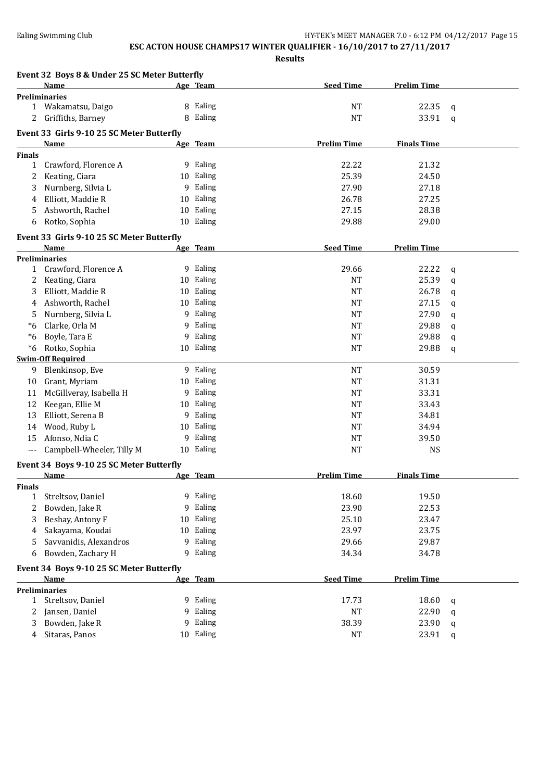|                | Event 32 Boys 8 & Under 25 SC Meter Butterfly |    |           |                    |                    |              |
|----------------|-----------------------------------------------|----|-----------|--------------------|--------------------|--------------|
|                | Name                                          |    | Age Team  | <b>Seed Time</b>   | <b>Prelim Time</b> |              |
|                | <b>Preliminaries</b>                          |    |           |                    |                    |              |
|                | 1 Wakamatsu, Daigo                            |    | 8 Ealing  | NT                 | 22.35              | q            |
| 2              | Griffiths, Barney                             | 8  | Ealing    | <b>NT</b>          | 33.91              | $\mathbf q$  |
|                | Event 33 Girls 9-10 25 SC Meter Butterfly     |    |           |                    |                    |              |
|                | <b>Name</b>                                   |    | Age Team  | <b>Prelim Time</b> | <b>Finals Time</b> |              |
| <b>Finals</b>  |                                               |    |           |                    |                    |              |
| 1              | Crawford, Florence A                          |    | 9 Ealing  | 22.22              | 21.32              |              |
| 2              | Keating, Ciara                                |    | 10 Ealing | 25.39              | 24.50              |              |
| 3              | Nurnberg, Silvia L                            |    | 9 Ealing  | 27.90              | 27.18              |              |
| 4              | Elliott, Maddie R                             | 10 | Ealing    | 26.78              | 27.25              |              |
| 5              | Ashworth, Rachel                              | 10 | Ealing    | 27.15              | 28.38              |              |
| 6              | Rotko, Sophia                                 |    | 10 Ealing | 29.88              | 29.00              |              |
|                | Event 33 Girls 9-10 25 SC Meter Butterfly     |    |           |                    |                    |              |
|                | Name                                          |    | Age Team  | <b>Seed Time</b>   | <b>Prelim Time</b> |              |
|                | <b>Preliminaries</b>                          |    |           |                    |                    |              |
| 1              | Crawford, Florence A                          |    | 9 Ealing  | 29.66              | 22.22              | q            |
| 2              | Keating, Ciara                                |    | 10 Ealing | <b>NT</b>          | 25.39              | q            |
| 3              | Elliott, Maddie R                             |    | 10 Ealing | <b>NT</b>          | 26.78              | q            |
| 4              | Ashworth, Rachel                              |    | 10 Ealing | NT                 | 27.15              | q            |
| 5              | Nurnberg, Silvia L                            |    | 9 Ealing  | NT                 | 27.90              | q            |
| *6             | Clarke, Orla M                                |    | 9 Ealing  | NT                 | 29.88              | q            |
| *6             | Boyle, Tara E                                 | 9  | Ealing    | NT                 | 29.88              | q            |
| $^*6$          | Rotko, Sophia                                 |    | 10 Ealing | NT                 | 29.88              | q            |
|                | <b>Swim-Off Required</b>                      |    |           |                    |                    |              |
| 9              | Blenkinsop, Eve                               |    | 9 Ealing  | NT                 | 30.59              |              |
| 10             | Grant, Myriam                                 |    | 10 Ealing | NT                 | 31.31              |              |
| 11             | McGillveray, Isabella H                       |    | 9 Ealing  | NT                 | 33.31              |              |
| 12             | Keegan, Ellie M                               |    | 10 Ealing | <b>NT</b>          | 33.43              |              |
| 13             | Elliott, Serena B                             |    | 9 Ealing  | <b>NT</b>          | 34.81              |              |
| 14             | Wood, Ruby L                                  | 10 | Ealing    | NT                 | 34.94              |              |
| 15             | Afonso, Ndia C                                | 9  | Ealing    | NT                 | 39.50              |              |
| $---$          | Campbell-Wheeler, Tilly M                     | 10 | Ealing    | <b>NT</b>          | <b>NS</b>          |              |
|                | Event 34 Boys 9-10 25 SC Meter Butterfly      |    |           |                    |                    |              |
|                | Name                                          |    | Age Team  | <b>Prelim Time</b> | <b>Finals Time</b> |              |
| <b>Finals</b>  |                                               |    |           |                    |                    |              |
| $\mathbf{1}$   | Streltsov, Daniel                             |    | 9 Ealing  | 18.60              | 19.50              |              |
| 2              | Bowden, Jake R                                | 9  | Ealing    | 23.90              | 22.53              |              |
| 3              | Beshay, Antony F                              | 10 | Ealing    | 25.10              | 23.47              |              |
| 4              | Sakayama, Koudai                              | 10 | Ealing    | 23.97              | 23.75              |              |
| 5              | Savvanidis, Alexandros                        | 9  | Ealing    | 29.66              | 29.87              |              |
| 6              | Bowden, Zachary H                             | 9  | Ealing    | 34.34              | 34.78              |              |
|                | Event 34 Boys 9-10 25 SC Meter Butterfly      |    |           |                    |                    |              |
|                | Name                                          |    | Age Team  | <b>Seed Time</b>   | <b>Prelim Time</b> |              |
|                | <b>Preliminaries</b>                          |    |           |                    |                    |              |
| $\mathbf{1}$   | Streltsov, Daniel                             |    | 9 Ealing  | 17.73              | 18.60              | q            |
| 2              | Jansen, Daniel                                | 9  | Ealing    | NT                 | 22.90              | q            |
| 3              | Bowden, Jake R                                | 9  | Ealing    | 38.39              | 23.90              | q            |
| $\overline{4}$ | Sitaras, Panos                                |    | 10 Ealing | NT                 | 23.91              | $\mathbf{q}$ |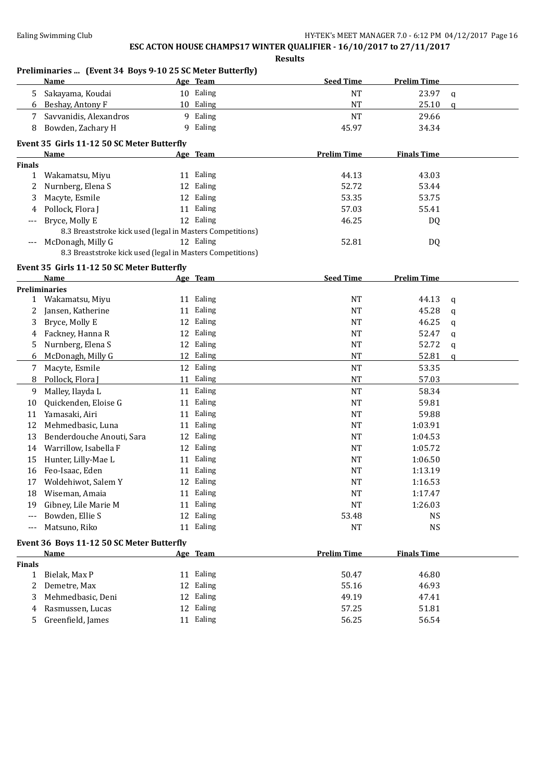**Preliminaries ... (Event 34 Boys 9-10 25 SC Meter Butterfly) Name Age Team Seed Time Prelim Time** 5 Sakayama, Koudai 10 Ealing NT 23.97 q 6 Beshay, Antony F 10 Ealing 10 Figure 10 Ealing 10 Figure 10 AT 7 Savvanidis, Alexandros 9 Ealing 19 and 29.66 8 Bowden, Zachary H 9 Ealing 45.97 34.34 **Event 35 Girls 11-12 50 SC Meter Butterfly Age Team Prelim Time Finals Time Finals** 1 Wakamatsu, Miyu 11 Ealing 44.13 43.03 2 Nurnberg, Elena S 12 Ealing 52.72 53.44 3 Macyte, Esmile 12 Ealing 12 Ealing 53.35 53.75 4 Pollock, Flora J 11 Ealing 57.03 55.41 --- Bryce, Molly E 12 Ealing 46.25 DQ 8.3 Breaststroke kick used (legal in Masters Competitions) McDonagh, Milly G 12 Ealing 52.81 DO 8.3 Breaststroke kick used (legal in Masters Competitions) **Event 35 Girls 11-12 50 SC Meter Butterfly Name Age Team Seed Time Prelim Time Preliminaries** 1 Wakamatsu, Miyu 11 Ealing 11 Ealing 11 Faling 11 A4.13 q 2 Jansen, Katherine 11 Ealing 11 Early 11 Early 11 Early 11 Early 11 Early 11 Early 11 Early 11 Early 11 Early 11 Early 11 Early 11 Early 11 Early 11 Early 11 Early 11 Early 11 Early 11 Early 11 Early 11 Early 11 Early 11 3 Bryce, Molly E 12 Ealing 12 According to the MT 46.25 q 4 Fackney, Hanna R 12 Ealing 12 Ealing NT 52.47 q 5 Nurnberg, Elena S 12 Ealing 12 Early 12 Ealing 12 Formula 12 Ealing 12 Formula 12 Formula 12 Formula 12 Formula 1 6 McDonagh, Milly G 12 Ealing 12 Alim 12 Ealing NT 52.81 q 7 Macyte, Esmile 2012 Ealing 2012 12 Ealing 2013 12 Ealing 2013 12 Ealing 2014 12 PM 8 Pollock, Flora J 11 Ealing 11 Allies and the St. of the St. 03 AT 57.03 9 Malley, Ilayda L 11 Ealing 11 Ealing 11 College Research NT 58.34 10 Quickenden, Eloise G 11 Ealing 10 Quickenden, Eloise G 11 Ealing 10 Contract 1 Early 10 Contract 1 Early 10 11 Yamasaki, Airi 11 Taling 11 Ealing 11 Taling 11 Taling 11 Taling 11 Taling 11 Taling 11 Taling 11 Taling 1 12 Mehmedbasic, Luna 11 Ealing 1:03.91 NT 1:03.91 13 Benderdouche Anouti, Sara 12 Ealing 1:04.53 14 Warrillow, Isabella F 12 Ealing 1:05.72 15 Hunter, Lilly-Mae L 11 Ealing 1:06.50 16 Feo-Isaac, Eden 11 Ealing 11 Ealing 1:13.19 17 Woldehiwot, Salem Y 12 Ealing 1:16.53 18 Wiseman, Amaia 11 Ealing 11 Ealing 11 Ealing 1:17.47 19 Gibney, Lile Marie M 11 Ealing 11 Ealing 11 Early 11 Early 11 26.03 --- Bowden, Ellie S 12 Ealing 53.48 NS --- Matsuno, Riko 11 Ealing 11 Ealing 11 Ealing 11 Ealing 11 PM NS **Event 36 Boys 11-12 50 SC Meter Butterfly Name Age Team Prelim Time Finals Time Finals** 1 Bielak, Max P 11 Ealing 50.47 46.80 2 Demetre, Max 12 Ealing 55.16 46.93 3 Mehmedbasic, Deni 12 Ealing 49.19 47.41 4 Rasmussen, Lucas 12 Ealing 57.25 51.81 5 Greenfield, James 11 Ealing 56.25 56.54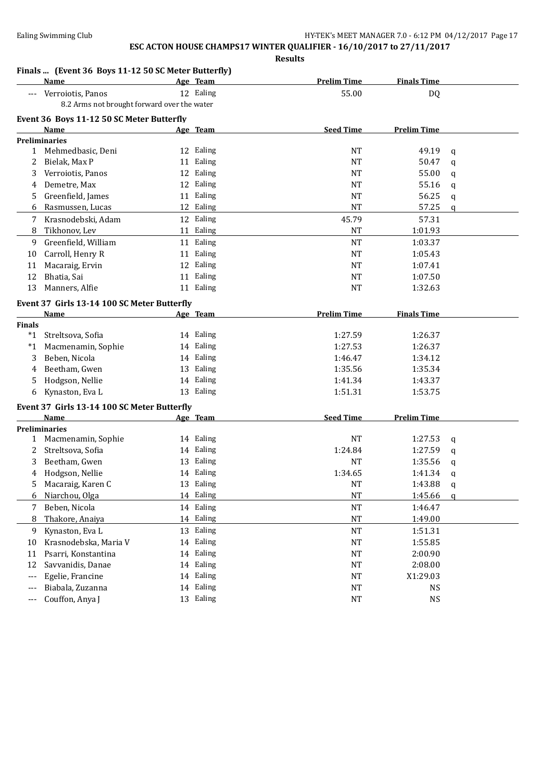|                | Finals  (Event 36 Boys 11-12 50 SC Meter Butterfly) |                        |                        |                    |                  |
|----------------|-----------------------------------------------------|------------------------|------------------------|--------------------|------------------|
|                | Name                                                | Age Team               | <b>Prelim Time</b>     | <b>Finals Time</b> |                  |
| $---$          | Verroiotis, Panos                                   | 12 Ealing              | 55.00                  | DQ                 |                  |
|                | 8.2 Arms not brought forward over the water         |                        |                        |                    |                  |
|                | Event 36 Boys 11-12 50 SC Meter Butterfly           |                        |                        |                    |                  |
|                | Name                                                | <u>Age Team</u>        | <b>Seed Time</b>       | <b>Prelim Time</b> |                  |
|                | <b>Preliminaries</b><br>1 Mehmedbasic, Deni         | 12 Ealing              | <b>NT</b>              | 49.19              |                  |
| 2              | Bielak, Max P                                       | 11 Ealing              | <b>NT</b>              | 50.47              | q<br>$\mathbf q$ |
| 3              | Verroiotis, Panos                                   | 12 Ealing              | <b>NT</b>              | 55.00              | q                |
| 4              | Demetre, Max                                        | 12 Ealing              | NT                     | 55.16              | $\mathbf q$      |
| 5              | Greenfield, James                                   | 11 Ealing              | <b>NT</b>              | 56.25              | q                |
| 6              | Rasmussen, Lucas                                    | 12 Ealing              | <b>NT</b>              | 57.25              | $\mathbf{q}$     |
|                | 7 Krasnodebski, Adam                                | 12 Ealing              | 45.79                  | 57.31              |                  |
| 8              | Tikhonov, Lev                                       | 11 Ealing              | <b>NT</b>              | 1:01.93            |                  |
|                |                                                     | 11 Ealing              | <b>NT</b>              |                    |                  |
| 9<br>10        | Greenfield, William<br>Carroll, Henry R             | 11 Ealing              | <b>NT</b>              | 1:03.37<br>1:05.43 |                  |
|                | Macaraig, Ervin                                     | 12 Ealing              | <b>NT</b>              | 1:07.41            |                  |
| 11<br>12       | Bhatia, Sai                                         | 11 Ealing              | NT                     | 1:07.50            |                  |
| 13             | Manners, Alfie                                      | 11 Ealing              | NT                     | 1:32.63            |                  |
|                |                                                     |                        |                        |                    |                  |
|                | Event 37 Girls 13-14 100 SC Meter Butterfly         |                        |                        |                    |                  |
|                | Name                                                | Age Team               | <b>Prelim Time</b>     | <b>Finals Time</b> |                  |
| Finals         |                                                     |                        |                        |                    |                  |
|                | *1 Streltsova, Sofia                                | 14 Ealing              | 1:27.59                | 1:26.37            |                  |
| *1             | Macmenamin, Sophie                                  | 14 Ealing              | 1:27.53                | 1:26.37            |                  |
| 3              | Beben, Nicola                                       | 14 Ealing<br>13 Ealing | 1:46.47                | 1:34.12            |                  |
| 4              | Beetham, Gwen<br>Hodgson, Nellie                    | 14 Ealing              | 1:35.56<br>1:41.34     | 1:35.34            |                  |
| 5              | Kynaston, Eva L                                     | 13 Ealing              | 1:51.31                | 1:43.37<br>1:53.75 |                  |
| 6              |                                                     |                        |                        |                    |                  |
|                | Event 37 Girls 13-14 100 SC Meter Butterfly         |                        |                        |                    |                  |
|                | Name                                                | Age Team               | <b>Seed Time</b>       | <b>Prelim Time</b> |                  |
|                | <b>Preliminaries</b>                                |                        |                        |                    |                  |
|                | 1 Macmenamin, Sophie                                | 14 Ealing              | <b>NT</b>              | 1:27.53            | q                |
| 2              | Streltsova, Sofia                                   | 14 Ealing              | 1:24.84                | 1:27.59            | $\mathbf q$      |
| 3              | Beetham, Gwen<br>Hodgson, Nellie                    | 13 Ealing<br>14 Ealing | NT<br>1:34.65          | 1:35.56<br>1:41.34 | q                |
| 4<br>5.        | Macaraig, Karen C                                   | 13 Ealing              | <b>NT</b>              | 1:43.88            | $\mathbf q$      |
| 6              | Niarchou, Olga                                      | 14 Ealing              | <b>NT</b>              | 1:45.66            | q                |
|                | Beben, Nicola                                       | 14 Ealing              | NT                     | 1:46.47            | q                |
| 7<br>8         | Thakore, Anaiya                                     | 14 Ealing              | $\rm{NT}$              | 1:49.00            |                  |
|                |                                                     | 13 Ealing              | NT                     |                    |                  |
| 9              | Kynaston, Eva L                                     | 14 Ealing              | NT                     | 1:51.31<br>1:55.85 |                  |
| 10             | Krasnodebska, Maria V<br>Psarri, Konstantina        | 14 Ealing              |                        |                    |                  |
| 11<br>12       | Savvanidis, Danae                                   | 14 Ealing              | <b>NT</b><br><b>NT</b> | 2:00.90<br>2:08.00 |                  |
|                | Egelie, Francine                                    | 14 Ealing              | NT                     | X1:29.03           |                  |
| $---$<br>$---$ | Biabala, Zuzanna                                    | 14 Ealing              | NT                     | <b>NS</b>          |                  |
|                |                                                     | 13 Ealing              |                        |                    |                  |
| $---$          | Couffon, Anya J                                     |                        | $\rm{NT}$              | <b>NS</b>          |                  |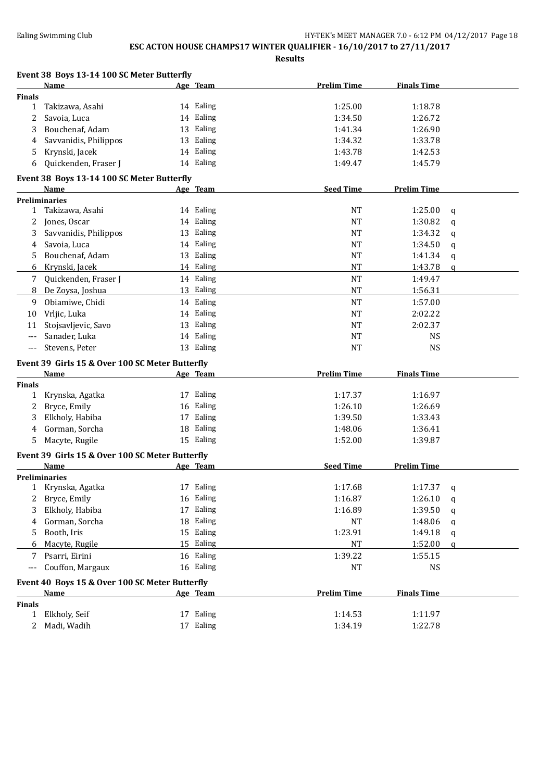# **ESC ACTON HOUSE CHAMPS17 WINTER QUALIFIER - 16/10/2017 to 27/11/2017**

|               | Event 38 Boys 13-14 100 SC Meter Butterfly      |    |           |                    |                    |             |
|---------------|-------------------------------------------------|----|-----------|--------------------|--------------------|-------------|
|               | Name                                            |    | Age Team  | <b>Prelim Time</b> | <b>Finals Time</b> |             |
| <b>Finals</b> |                                                 |    |           |                    |                    |             |
| $\mathbf{1}$  | Takizawa, Asahi                                 |    | 14 Ealing | 1:25.00            | 1:18.78            |             |
| 2             | Savoia, Luca                                    |    | 14 Ealing | 1:34.50            | 1:26.72            |             |
| 3             | Bouchenaf, Adam                                 |    | 13 Ealing | 1:41.34            | 1:26.90            |             |
| 4             | Savvanidis, Philippos                           |    | 13 Ealing | 1:34.32            | 1:33.78            |             |
| 5             | Krynski, Jacek                                  |    | 14 Ealing | 1:43.78            | 1:42.53            |             |
| 6             | Quickenden, Fraser J                            |    | 14 Ealing | 1:49.47            | 1:45.79            |             |
|               | Event 38 Boys 13-14 100 SC Meter Butterfly      |    |           |                    |                    |             |
|               | Name                                            |    | Age Team  | <b>Seed Time</b>   | <b>Prelim Time</b> |             |
|               | <b>Preliminaries</b>                            |    |           |                    |                    |             |
| 1             | Takizawa, Asahi                                 |    | 14 Ealing | <b>NT</b>          | 1:25.00            | $\mathbf q$ |
| 2             | Jones, Oscar                                    |    | 14 Ealing | <b>NT</b>          | 1:30.82            | $\mathbf q$ |
| 3             | Savvanidis, Philippos                           |    | 13 Ealing | <b>NT</b>          | 1:34.32            | $\mathbf q$ |
| 4             | Savoia, Luca                                    |    | 14 Ealing | <b>NT</b>          | 1:34.50            | $\mathbf q$ |
| 5.            | Bouchenaf, Adam                                 |    | 13 Ealing | <b>NT</b>          | 1:41.34            | $\mathbf q$ |
| 6             | Krynski, Jacek                                  |    | 14 Ealing | <b>NT</b>          | 1:43.78            | q           |
| 7             | Quickenden, Fraser J                            |    | 14 Ealing | <b>NT</b>          | 1:49.47            |             |
| 8             | De Zoysa, Joshua                                |    | 13 Ealing | <b>NT</b>          | 1:56.31            |             |
| 9             | Obiamiwe, Chidi                                 |    | 14 Ealing | <b>NT</b>          | 1:57.00            |             |
| 10            | Vrljic, Luka                                    |    | 14 Ealing | <b>NT</b>          | 2:02.22            |             |
| 11            | Stojsavljevic, Savo                             |    | 13 Ealing | <b>NT</b>          | 2:02.37            |             |
|               | Sanader, Luka                                   |    | 14 Ealing | <b>NT</b>          | <b>NS</b>          |             |
| ---           | Stevens, Peter                                  |    | 13 Ealing | <b>NT</b>          | <b>NS</b>          |             |
|               |                                                 |    |           |                    |                    |             |
|               | Event 39 Girls 15 & Over 100 SC Meter Butterfly |    |           |                    |                    |             |
|               | Name                                            |    | Age Team  | <b>Prelim Time</b> | <b>Finals Time</b> |             |
| <b>Finals</b> |                                                 |    |           |                    |                    |             |
| $\mathbf{1}$  | Krynska, Agatka                                 |    | 17 Ealing | 1:17.37            | 1:16.97            |             |
| 2             | Bryce, Emily                                    |    | 16 Ealing | 1:26.10            | 1:26.69            |             |
| 3             | Elkholy, Habiba                                 |    | 17 Ealing | 1:39.50            | 1:33.43            |             |
| 4             | Gorman, Sorcha                                  |    | 18 Ealing | 1:48.06            | 1:36.41            |             |
| 5.            | Macyte, Rugile                                  |    | 15 Ealing | 1:52.00            | 1:39.87            |             |
|               | Event 39 Girls 15 & Over 100 SC Meter Butterfly |    |           |                    |                    |             |
|               | Name                                            |    | Age Team  | <b>Seed Time</b>   | <b>Prelim Time</b> |             |
|               | <b>Preliminaries</b>                            |    |           |                    |                    |             |
|               | 1 Krynska, Agatka                               |    | 17 Ealing | 1:17.68            | 1:17.37            | q           |
| 2             | Bryce, Emily                                    |    | 16 Ealing | 1:16.87            | 1:26.10            | q           |
| 3             | Elkholy, Habiba                                 |    | 17 Ealing | 1:16.89            | 1:39.50            | q           |
| 4             | Gorman, Sorcha                                  |    | 18 Ealing | NT                 | 1:48.06            | q           |
| 5             | Booth, Iris                                     |    | 15 Ealing | 1:23.91            | 1:49.18            | q           |
| 6             | Macyte, Rugile                                  | 15 | Ealing    | NT                 | 1:52.00            | q           |
| 7             | Psarri, Eirini                                  |    | 16 Ealing | 1:39.22            | 1:55.15            |             |
| ---           | Couffon, Margaux                                |    | 16 Ealing | NT                 | <b>NS</b>          |             |
|               | Event 40 Boys 15 & Over 100 SC Meter Butterfly  |    |           |                    |                    |             |
|               | Name                                            |    | Age Team  | <b>Prelim Time</b> | <b>Finals Time</b> |             |
| <b>Finals</b> |                                                 |    |           |                    |                    |             |
| 1             | Elkholy, Seif                                   |    | 17 Ealing | 1:14.53            | 1:11.97            |             |
| $\mathbf{2}$  | Madi, Wadih                                     |    | 17 Ealing | 1:34.19            | 1:22.78            |             |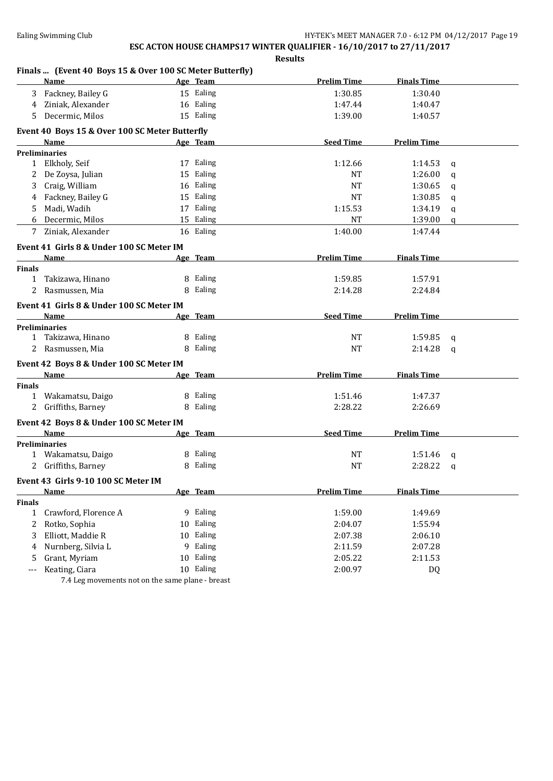### **Results**

#### **Finals ... (Event 40 Boys 15 & Over 100 SC Meter Butterfly)**

|               | <b>Name</b>                                    |    | Age Team  | <b>Prelim Time</b> | <b>Finals Time</b> |              |
|---------------|------------------------------------------------|----|-----------|--------------------|--------------------|--------------|
|               | Fackney, Bailey G                              |    | 15 Ealing | 1:30.85            | 1:30.40            |              |
| 4             | Ziniak, Alexander                              |    | 16 Ealing | 1:47.44            | 1:40.47            |              |
| 5.            | Decermic, Milos                                |    | 15 Ealing | 1:39.00            | 1:40.57            |              |
|               | Event 40 Boys 15 & Over 100 SC Meter Butterfly |    |           |                    |                    |              |
|               | Name                                           |    | Age Team  | <b>Seed Time</b>   | <b>Prelim Time</b> |              |
|               | <b>Preliminaries</b>                           |    |           |                    |                    |              |
|               | 1 Elkholy, Seif                                |    | 17 Ealing | 1:12.66            | 1:14.53            | $\mathbf q$  |
|               | 2 De Zoysa, Julian                             |    | 15 Ealing | NT                 | 1:26.00            | $\mathbf{q}$ |
|               | 3 Craig, William                               |    | 16 Ealing | <b>NT</b>          | 1:30.65            | q            |
|               | 4 Fackney, Bailey G                            |    | 15 Ealing | <b>NT</b>          | 1:30.85            | q            |
| 5             | Madi, Wadih                                    |    | 17 Ealing | 1:15.53            | 1:34.19            | q            |
|               | 6 Decermic, Milos                              |    | 15 Ealing | NT                 | 1:39.00            | $\alpha$     |
| 7             | Ziniak, Alexander                              |    | 16 Ealing | 1:40.00            | 1:47.44            |              |
|               | Event 41 Girls 8 & Under 100 SC Meter IM       |    |           |                    |                    |              |
|               | Name                                           |    | Age Team  | <b>Prelim Time</b> | <b>Finals Time</b> |              |
| <b>Finals</b> |                                                |    |           |                    |                    |              |
| $\mathbf{1}$  | Takizawa, Hinano                               |    | 8 Ealing  | 1:59.85            | 1:57.91            |              |
|               | 2 Rasmussen, Mia                               |    | 8 Ealing  | 2:14.28            | 2:24.84            |              |
|               | Event 41 Girls 8 & Under 100 SC Meter IM       |    |           |                    |                    |              |
|               | Name                                           |    | Age Team  | <b>Seed Time</b>   | <b>Prelim Time</b> |              |
|               | <b>Preliminaries</b>                           |    |           |                    |                    |              |
|               | 1 Takizawa, Hinano                             |    | 8 Ealing  | NT                 | 1:59.85            | $\mathbf q$  |
|               | 2 Rasmussen, Mia                               |    | 8 Ealing  | <b>NT</b>          | 2:14.28            | $\mathsf{q}$ |
|               | Event 42 Boys 8 & Under 100 SC Meter IM        |    |           |                    |                    |              |
|               | Name                                           |    | Age Team  | <b>Prelim Time</b> | <b>Finals Time</b> |              |
| <b>Finals</b> |                                                |    |           |                    |                    |              |
|               | 1 Wakamatsu, Daigo                             |    | 8 Ealing  | 1:51.46            | 1:47.37            |              |
|               | 2 Griffiths, Barney                            |    | 8 Ealing  | 2:28.22            | 2:26.69            |              |
|               | Event 42 Boys 8 & Under 100 SC Meter IM        |    |           |                    |                    |              |
|               | Name                                           |    | Age Team  | <b>Seed Time</b>   | <b>Prelim Time</b> |              |
|               | <b>Preliminaries</b>                           |    |           |                    |                    |              |
|               | 1 Wakamatsu, Daigo                             |    | 8 Ealing  | NT                 | 1:51.46            | q            |
|               | 2 Griffiths, Barney                            |    | 8 Ealing  | <b>NT</b>          | 2:28.22            | a            |
|               | Event 43 Girls 9-10 100 SC Meter IM            |    |           |                    |                    |              |
|               | Name                                           |    | Age Team  | Prelim Time        | <b>Finals Time</b> |              |
| <b>Finals</b> |                                                |    |           |                    |                    |              |
| $\mathbf{1}$  | Crawford, Florence A                           |    | 9 Ealing  | 1:59.00            | 1:49.69            |              |
| 2             | Rotko, Sophia                                  | 10 | Ealing    | 2:04.07            | 1:55.94            |              |
| 3             | Elliott, Maddie R                              | 10 | Ealing    | 2:07.38            | 2:06.10            |              |
| 4             | Nurnberg, Silvia L                             | 9  | Ealing    | 2:11.59            | 2:07.28            |              |
| 5             | Grant, Myriam                                  | 10 | Ealing    | 2:05.22            | 2:11.53            |              |
| $---$         | Keating, Ciara                                 |    | 10 Ealing | 2:00.97            | DQ                 |              |

7.4 Leg movements not on the same plane - breast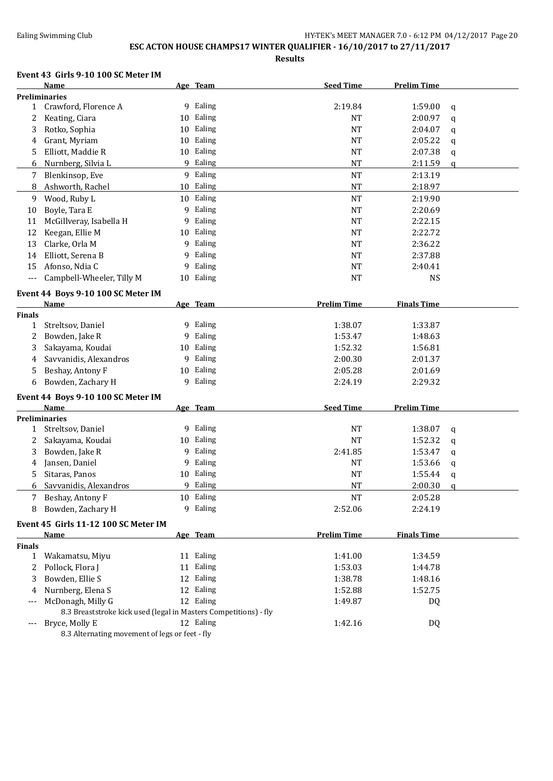## **ESC ACTON HOUSE CHAMPS17 WINTER QUALIFIER - 16/10/2017 to 27/11/2017**

**Results**

#### **Event 43 Girls 9-10 100 SC Meter IM**

|                 | <b>Name</b>                                                      |    | Age Team  | <b>Seed Time</b>   | <b>Prelim Time</b> |          |
|-----------------|------------------------------------------------------------------|----|-----------|--------------------|--------------------|----------|
|                 | Preliminaries                                                    |    |           |                    |                    |          |
|                 | 1 Crawford, Florence A                                           |    | 9 Ealing  | 2:19.84            | 1:59.00            | q        |
| 2               | Keating, Ciara                                                   |    | 10 Ealing | NT                 | 2:00.97            | q        |
| 3               | Rotko, Sophia                                                    |    | 10 Ealing | <b>NT</b>          | 2:04.07            | q        |
| 4               | Grant, Myriam                                                    | 10 | Ealing    | <b>NT</b>          | 2:05.22            | q        |
| 5               | Elliott, Maddie R                                                |    | 10 Ealing | <b>NT</b>          | 2:07.38            |          |
|                 |                                                                  |    |           |                    |                    | q        |
| 6               | Nurnberg, Silvia L                                               |    | 9 Ealing  | <b>NT</b>          | 2:11.59            | $\alpha$ |
| 7               | Blenkinsop, Eve                                                  |    | 9 Ealing  | <b>NT</b>          | 2:13.19            |          |
| 8               | Ashworth, Rachel                                                 | 10 | Ealing    | $\rm{NT}$          | 2:18.97            |          |
| 9               | Wood, Ruby L                                                     |    | 10 Ealing | NT                 | 2:19.90            |          |
| 10              | Boyle, Tara E                                                    | 9  | Ealing    | <b>NT</b>          | 2:20.69            |          |
| 11              | McGillveray, Isabella H                                          | 9  | Ealing    | <b>NT</b>          | 2:22.15            |          |
| 12              | Keegan, Ellie M                                                  | 10 | Ealing    | <b>NT</b>          | 2:22.72            |          |
| 13              | Clarke, Orla M                                                   | 9  | Ealing    | <b>NT</b>          | 2:36.22            |          |
| 14              | Elliott, Serena B                                                | 9  | Ealing    | <b>NT</b>          | 2:37.88            |          |
| 15              | Afonso, Ndia C                                                   | 9  | Ealing    | <b>NT</b>          | 2:40.41            |          |
| $---$           | Campbell-Wheeler, Tilly M                                        |    | 10 Ealing | <b>NT</b>          | <b>NS</b>          |          |
|                 |                                                                  |    |           |                    |                    |          |
|                 | Event 44 Boys 9-10 100 SC Meter IM                               |    |           |                    |                    |          |
|                 | <b>Name</b>                                                      |    | Age Team  | <b>Prelim Time</b> | <b>Finals Time</b> |          |
| Finals          |                                                                  |    |           |                    |                    |          |
| 1               | Streltsov, Daniel                                                |    | 9 Ealing  | 1:38.07            | 1:33.87            |          |
| 2               | Bowden, Jake R                                                   | 9  | Ealing    | 1:53.47            | 1:48.63            |          |
| 3               | Sakayama, Koudai                                                 | 10 | Ealing    | 1:52.32            | 1:56.81            |          |
| 4               | Savvanidis, Alexandros                                           | 9  | Ealing    | 2:00.30            | 2:01.37            |          |
| 5               | Beshay, Antony F                                                 | 10 | Ealing    | 2:05.28            | 2:01.69            |          |
| 6               | Bowden, Zachary H                                                | 9  | Ealing    | 2:24.19            | 2:29.32            |          |
|                 |                                                                  |    |           |                    |                    |          |
|                 | Event 44 Boys 9-10 100 SC Meter IM                               |    |           |                    |                    |          |
|                 | Name                                                             |    | Age Team  | <b>Seed Time</b>   | <b>Prelim Time</b> |          |
|                 | <b>Preliminaries</b>                                             |    |           |                    |                    |          |
| 1               | Streltsov, Daniel                                                |    | 9 Ealing  | <b>NT</b>          | 1:38.07            | q        |
| 2               | Sakayama, Koudai                                                 | 10 | Ealing    | <b>NT</b>          | 1:52.32            | q        |
| 3               | Bowden, Jake R                                                   | 9  | Ealing    | 2:41.85            | 1:53.47            | q        |
| 4               | Jansen, Daniel                                                   | 9  | Ealing    | NT                 | 1:53.66            | q        |
| 5               | Sitaras, Panos                                                   |    | 10 Ealing | <b>NT</b>          | 1:55.44            | q        |
| 6               | Savvanidis, Alexandros                                           |    | 9 Ealing  | <b>NT</b>          | 2:00.30            | q        |
| $7\overline{ }$ | Beshay, Antony F                                                 |    | 10 Ealing | NT                 | 2:05.28            |          |
| 8               | Bowden, Zachary H                                                |    | 9 Ealing  | 2:52.06            | 2:24.19            |          |
|                 |                                                                  |    |           |                    |                    |          |
|                 | Event 45 Girls 11-12 100 SC Meter IM                             |    |           |                    |                    |          |
|                 | <u>Name</u>                                                      |    | Age Team  | <b>Prelim Time</b> | <b>Finals Time</b> |          |
| <b>Finals</b>   |                                                                  |    |           |                    |                    |          |
| $\mathbf{1}$    | Wakamatsu, Miyu                                                  |    | 11 Ealing | 1:41.00            | 1:34.59            |          |
| 2               | Pollock, Flora J                                                 |    | 11 Ealing | 1:53.03            | 1:44.78            |          |
| 3               | Bowden, Ellie S                                                  |    | 12 Ealing | 1:38.78            | 1:48.16            |          |
| 4               | Nurnberg, Elena S                                                |    | 12 Ealing | 1:52.88            | 1:52.75            |          |
|                 | McDonagh, Milly G                                                |    | 12 Ealing | 1:49.87            | DQ                 |          |
|                 | 8.3 Breaststroke kick used (legal in Masters Competitions) - fly |    |           |                    |                    |          |
|                 | Bryce, Molly E                                                   |    | 12 Ealing | 1:42.16            | DQ                 |          |
|                 | 8.3 Alternating movement of legs or feet - fly                   |    |           |                    |                    |          |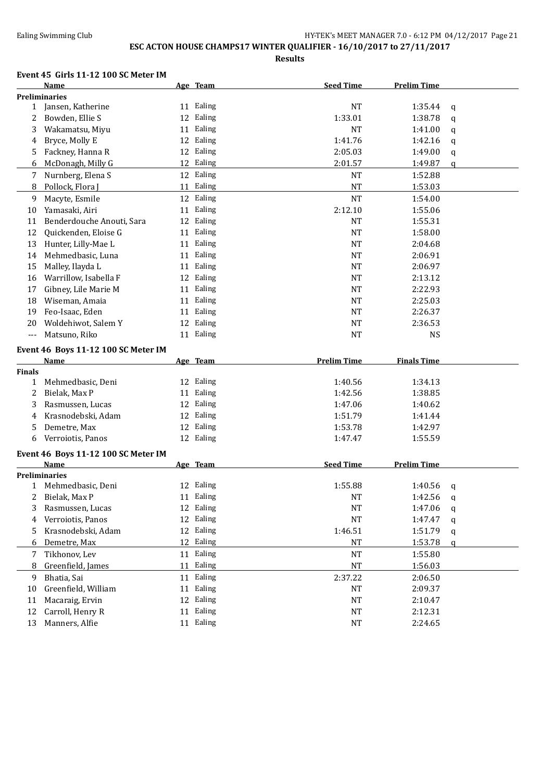## **ESC ACTON HOUSE CHAMPS17 WINTER QUALIFIER - 16/10/2017 to 27/11/2017**

**Results**

#### **Event 45 Girls 11-12 100 SC Meter IM**

|                   | <b>Name</b>                                        | Age Team     | <b>Seed Time</b>   | <b>Prelim Time</b> |             |
|-------------------|----------------------------------------------------|--------------|--------------------|--------------------|-------------|
|                   | <b>Preliminaries</b>                               |              |                    |                    |             |
| $\mathbf{1}$      | Jansen, Katherine                                  | 11 Ealing    | <b>NT</b>          | 1:35.44            | q           |
| 2                 | Bowden, Ellie S                                    | 12 Ealing    | 1:33.01            | 1:38.78            | $\mathbf q$ |
| 3                 | Wakamatsu, Miyu                                    | Ealing<br>11 | <b>NT</b>          | 1:41.00            | $\mathbf q$ |
| 4                 | Bryce, Molly E                                     | 12 Ealing    | 1:41.76            | 1:42.16            | $\mathbf q$ |
| 5                 | Fackney, Hanna R                                   | 12 Ealing    | 2:05.03            | 1:49.00            | q           |
| 6                 | McDonagh, Milly G                                  | 12 Ealing    | 2:01.57            | 1:49.87            | $\mathbf q$ |
| 7                 | Nurnberg, Elena S                                  | 12 Ealing    | <b>NT</b>          | 1:52.88            |             |
| 8                 | Pollock, Flora J                                   | 11 Ealing    | <b>NT</b>          | 1:53.03            |             |
| 9                 | Macyte, Esmile                                     | 12 Ealing    | <b>NT</b>          | 1:54.00            |             |
| 10                | Yamasaki, Airi                                     | 11 Ealing    | 2:12.10            | 1:55.06            |             |
| 11                | Benderdouche Anouti, Sara                          | 12 Ealing    | <b>NT</b>          | 1:55.31            |             |
| 12                | Quickenden, Eloise G                               | 11 Ealing    | <b>NT</b>          | 1:58.00            |             |
| 13                | Hunter, Lilly-Mae L                                | 11 Ealing    | <b>NT</b>          | 2:04.68            |             |
| 14                | Mehmedbasic, Luna                                  | 11 Ealing    | <b>NT</b>          | 2:06.91            |             |
| 15                | Malley, Ilayda L                                   | 11 Ealing    | <b>NT</b>          | 2:06.97            |             |
| 16                | Warrillow, Isabella F                              | 12 Ealing    | NT                 | 2:13.12            |             |
| 17                | Gibney, Lile Marie M                               | 11 Ealing    | <b>NT</b>          | 2:22.93            |             |
| 18                | Wiseman, Amaia                                     | 11 Ealing    | <b>NT</b>          | 2:25.03            |             |
| 19                | Feo-Isaac, Eden                                    | 11 Ealing    | <b>NT</b>          | 2:26.37            |             |
| 20                | Woldehiwot, Salem Y                                | 12 Ealing    | <b>NT</b>          | 2:36.53            |             |
| $\qquad \qquad -$ | Matsuno, Riko                                      | 11 Ealing    | <b>NT</b>          | <b>NS</b>          |             |
|                   |                                                    |              |                    |                    |             |
|                   | Event 46 Boys 11-12 100 SC Meter IM<br><b>Name</b> | Age Team     | <b>Prelim Time</b> | <b>Finals Time</b> |             |
| <b>Finals</b>     |                                                    |              |                    |                    |             |
|                   | 1 Mehmedbasic, Deni                                | 12 Ealing    | 1:40.56            | 1:34.13            |             |
| 2                 | Bielak, Max P                                      | 11 Ealing    | 1:42.56            | 1:38.85            |             |
| 3                 | Rasmussen, Lucas                                   | 12 Ealing    | 1:47.06            | 1:40.62            |             |
| 4                 | Krasnodebski, Adam                                 | 12 Ealing    | 1:51.79            | 1:41.44            |             |
| 5                 | Demetre, Max                                       | 12 Ealing    | 1:53.78            | 1:42.97            |             |
| 6                 | Verroiotis, Panos                                  | 12 Ealing    | 1:47.47            | 1:55.59            |             |
|                   |                                                    |              |                    |                    |             |
|                   | Event 46 Boys 11-12 100 SC Meter IM                |              |                    |                    |             |
|                   | Name                                               | Age Team     | <b>Seed Time</b>   | <b>Prelim Time</b> |             |
|                   | <b>Preliminaries</b>                               |              |                    |                    |             |
|                   | 1 Mehmedbasic, Deni                                | 12 Ealing    | 1:55.88            | 1:40.56            | q           |
|                   | 2 Bielak, Max P                                    | 11 Ealing    | $_{\rm NT}$        | 1:42.56 $q$        |             |
| 3                 | Rasmussen, Lucas                                   | 12 Ealing    | NT                 | 1:47.06            | q           |
| 4                 | Verroiotis, Panos                                  | 12 Ealing    | <b>NT</b>          | 1:47.47            | q           |
| 5                 | Krasnodebski, Adam                                 | Ealing<br>12 | 1:46.51            | 1:51.79            | q           |
| 6                 | Demetre, Max                                       | 12 Ealing    | <b>NT</b>          | 1:53.78            | q           |
| 7                 | Tikhonov, Lev                                      | 11 Ealing    | <b>NT</b>          | 1:55.80            |             |
| 8                 | Greenfield, James                                  | 11 Ealing    | <b>NT</b>          | 1:56.03            |             |
| 9                 | Bhatia, Sai                                        | 11 Ealing    | 2:37.22            | 2:06.50            |             |
| 10                | Greenfield, William                                | Ealing<br>11 | NT                 | 2:09.37            |             |
| 11                | Macaraig, Ervin                                    | Ealing<br>12 | <b>NT</b>          | 2:10.47            |             |
| 12                | Carroll, Henry R                                   | 11<br>Ealing | <b>NT</b>          | 2:12.31            |             |
| 13                | Manners, Alfie                                     | 11 Ealing    | <b>NT</b>          | 2:24.65            |             |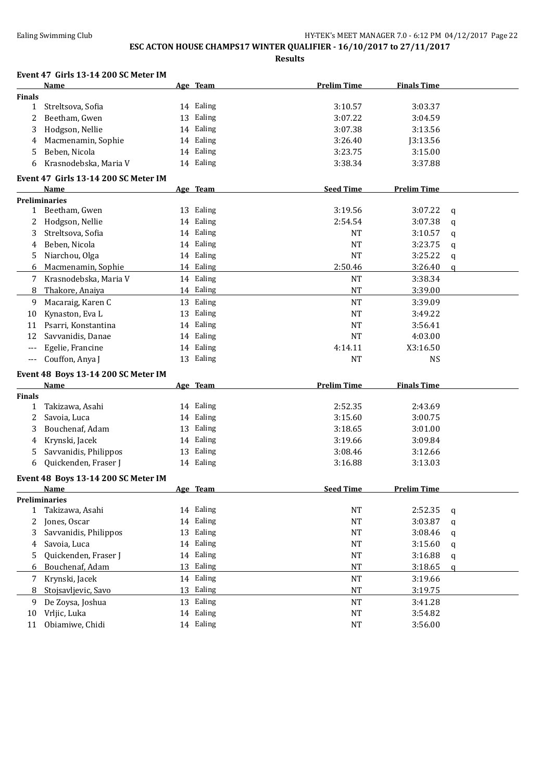### **ESC ACTON HOUSE CHAMPS17 WINTER QUALIFIER - 16/10/2017 to 27/11/2017**

|               | Event 47 Girls 13-14 200 SC Meter IM         |                        |                    |                    |          |
|---------------|----------------------------------------------|------------------------|--------------------|--------------------|----------|
| <b>Finals</b> | Name                                         | Age Team               | <b>Prelim Time</b> | <b>Finals Time</b> |          |
| 1             | Streltsova, Sofia                            | 14 Ealing              | 3:10.57            | 3:03.37            |          |
| 2             | Beetham, Gwen                                | 13 Ealing              | 3:07.22            | 3:04.59            |          |
| 3             | Hodgson, Nellie                              | 14 Ealing              | 3:07.38            | 3:13.56            |          |
| 4             | Macmenamin, Sophie                           | 14 Ealing              | 3:26.40            | J3:13.56           |          |
| 5             | Beben, Nicola                                | 14 Ealing              | 3:23.75            | 3:15.00            |          |
| 6             | Krasnodebska, Maria V                        | 14 Ealing              | 3:38.34            | 3:37.88            |          |
|               |                                              |                        |                    |                    |          |
|               | Event 47 Girls 13-14 200 SC Meter IM<br>Name | Age Team               | <b>Seed Time</b>   | <b>Prelim Time</b> |          |
|               | <b>Preliminaries</b>                         |                        |                    |                    |          |
|               | 1 Beetham, Gwen                              | 13 Ealing              | 3:19.56            | 3:07.22            | q        |
| 2             | Hodgson, Nellie                              | 14 Ealing              | 2:54.54            | 3:07.38            | q        |
| 3             | Streltsova, Sofia                            | 14 Ealing              | <b>NT</b>          | 3:10.57            | q        |
| 4             | Beben, Nicola                                | 14 Ealing              | <b>NT</b>          | 3:23.75            | q        |
| 5.            | Niarchou, Olga                               | 14 Ealing              | <b>NT</b>          | 3:25.22            | q        |
| 6             | Macmenamin, Sophie                           | 14 Ealing              | 2:50.46            | 3:26.40            | $\alpha$ |
| 7             | Krasnodebska, Maria V                        | 14 Ealing              | <b>NT</b>          | 3:38.34            |          |
| 8             | Thakore, Anaiya                              | 14 Ealing              | $\rm{NT}$          | 3:39.00            |          |
| 9             | Macaraig, Karen C                            | 13 Ealing              | NT                 | 3:39.09            |          |
| 10            | Kynaston, Eva L                              | 13 Ealing              | <b>NT</b>          | 3:49.22            |          |
| 11            | Psarri, Konstantina                          | 14 Ealing              | <b>NT</b>          | 3:56.41            |          |
| 12            | Savvanidis, Danae                            | 14 Ealing              | NT                 | 4:03.00            |          |
| $---$         | Egelie, Francine                             | 14 Ealing              | 4:14.11            | X3:16.50           |          |
|               |                                              | 13 Ealing              | <b>NT</b>          |                    |          |
|               |                                              |                        |                    |                    |          |
| $---$         | Couffon, Anya J                              |                        |                    | <b>NS</b>          |          |
|               | Event 48 Boys 13-14 200 SC Meter IM          |                        |                    |                    |          |
|               | Name                                         | Age Team               | <b>Prelim Time</b> | <b>Finals Time</b> |          |
| <b>Finals</b> |                                              |                        |                    |                    |          |
| 1             | Takizawa, Asahi                              | 14 Ealing              | 2:52.35            | 2:43.69            |          |
| 2             | Savoia, Luca                                 | 14 Ealing              | 3:15.60            | 3:00.75            |          |
| 3             | Bouchenaf, Adam                              | 13 Ealing              | 3:18.65            | 3:01.00            |          |
| 4             | Krynski, Jacek                               | 14 Ealing              | 3:19.66            | 3:09.84            |          |
| 5             | Savvanidis, Philippos                        | 13 Ealing              | 3:08.46            | 3:12.66            |          |
| 6             | Quickenden, Fraser J                         | 14 Ealing              | 3:16.88            | 3:13.03            |          |
|               | Event 48 Boys 13-14 200 SC Meter IM          |                        |                    |                    |          |
|               | <b>Name</b>                                  | Age Team               | <b>Seed Time</b>   | <b>Prelim Time</b> |          |
|               | <b>Preliminaries</b>                         |                        |                    |                    |          |
| 1             | Takizawa, Asahi                              | 14 Ealing              | NT                 | 2:52.35            | q        |
| 2             | Jones, Oscar                                 | 14 Ealing              | NT                 | 3:03.87            | q        |
| 3             | Savvanidis, Philippos                        | 13 Ealing              | NT                 | 3:08.46            | q        |
| 4             | Savoia, Luca                                 | 14 Ealing              | NT                 | 3:15.60            | q        |
| 5.            | Quickenden, Fraser J                         | 14 Ealing              | NT                 | 3:16.88            | q        |
| 6             | Bouchenaf, Adam                              | 13 Ealing              | $\rm{NT}$          | 3:18.65            | q        |
| 7             | Krynski, Jacek                               | 14 Ealing              | NT                 | 3:19.66            |          |
| 8             | Stojsavljevic, Savo                          | 13 Ealing              | $\rm{NT}$          | 3:19.75            |          |
| 9             | De Zoysa, Joshua                             | 13 Ealing              | NT                 | 3:41.28            |          |
| 10<br>11      | Vrljic, Luka<br>Obiamiwe, Chidi              | 14 Ealing<br>14 Ealing | NT<br>NT           | 3:54.82<br>3:56.00 |          |